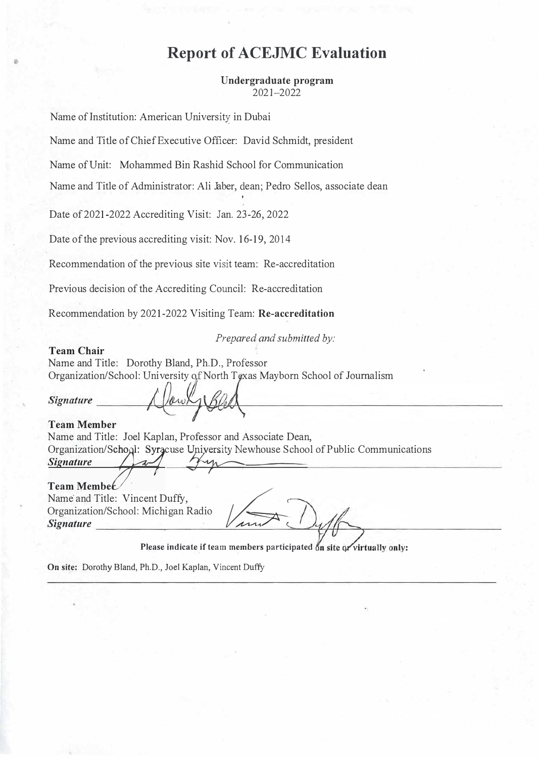# **Report of ACEJMC Evaluation**

**Undergraduate program**  2021-2022

Name of Institution: American University in Dubai

Name and Title of Chief Executive Officer: David Schmidt, president

Name ofUnit: Mohammed Bin Rashid School for Communication

Name and Title of Administrator: Ali Jaber, dean; Pedro Sellos, associate dean

Date of 2021-2022 Accrediting Visit: Jan. 23-26, 2022

Date of the previous accrediting visit: Nov. 16-19, 2014

Recommendation of the previous site visit team: Re-accreditation

Previous decision of the Accrediting Council: Re-accreditation

Recommendation by 2021-2022 Visiting Team: **Re-accreditation**

*Prepared and submitted by:* 

**Team Chair**  Name and Title: Dorothy Bland, Ph.D., Professor Organization/School: University of North Texas Mayborn School of Journalism

**Signature** 

**Team Member**  Name and Title: Joel Kaplan, Professor and Associate Dean, Organization/School: Syr cuse University Newhouse School of Public Communications<br>Signature  $S$ *ignature* 

**Team Membet**<br>Name and Title: Vincent Duffy, Name and Title: Vincent Duffy,<br>Organization/School: Michigan Radio *Signature* 

Please indicate if team members participated on site or virtually only:

On site: Dorothy Bland, Ph.D., Joel Kaplan, Vincent Duffy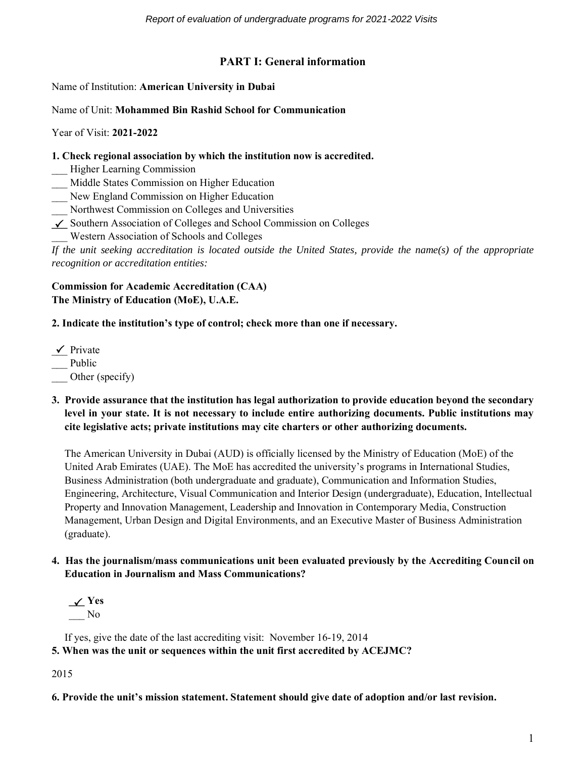# **PART I: General information**

Name of Institution: **American University in Dubai**

#### Name of Unit: **Mohammed Bin Rashid School for Communication**

Year of Visit: **2021-2022**

**1. Check regional association by which the institution now is accredited.**

\_\_\_ Higher Learning Commission

\_\_\_ Middle States Commission on Higher Education

\_\_\_ New England Commission on Higher Education

\_\_\_ Northwest Commission on Colleges and Universities

**\_\_\_** Southern Association of Colleges and School Commission on Colleges

\_\_\_ Western Association of Schools and Colleges

*If the unit seeking accreditation is located outside the United States, provide the name(s) of the appropriate recognition or accreditation entities:* 

#### **Commission for Academic Accreditation (CAA) The Ministry of Education (MoE), U.A.E.**

# **2. Indicate the institution's type of control; check more than one if necessary.**

 $\angle$  Private \_\_ Public Other (specify)

**3. Provide assurance that the institution has legal authorization to provide education beyond the secondary level in your state. It is not necessary to include entire authorizing documents. Public institutions may cite legislative acts; private institutions may cite charters or other authorizing documents.**

The American University in Dubai (AUD) is officially licensed by the Ministry of Education (MoE) of the United Arab Emirates (UAE). The MoE has accredited the university's programs in International Studies, Business Administration (both undergraduate and graduate), Communication and Information Studies, Engineering, Architecture, Visual Communication and Interior Design (undergraduate), Education, Intellectual Property and Innovation Management, Leadership and Innovation in Contemporary Media, Construction Management, Urban Design and Digital Environments, and an Executive Master of Business Administration (graduate).

- **4. Has the journalism/mass communications unit been evaluated previously by the Accrediting Council on Education in Journalism and Mass Communications?**
	- **\_\_\_ Yes** \_\_\_ No

If yes, give the date of the last accrediting visit: November 16-19, 2014

**5. When was the unit or sequences within the unit first accredited by ACEJMC?**

2015

**6. Provide the unit's mission statement. Statement should give date of adoption and/or last revision.**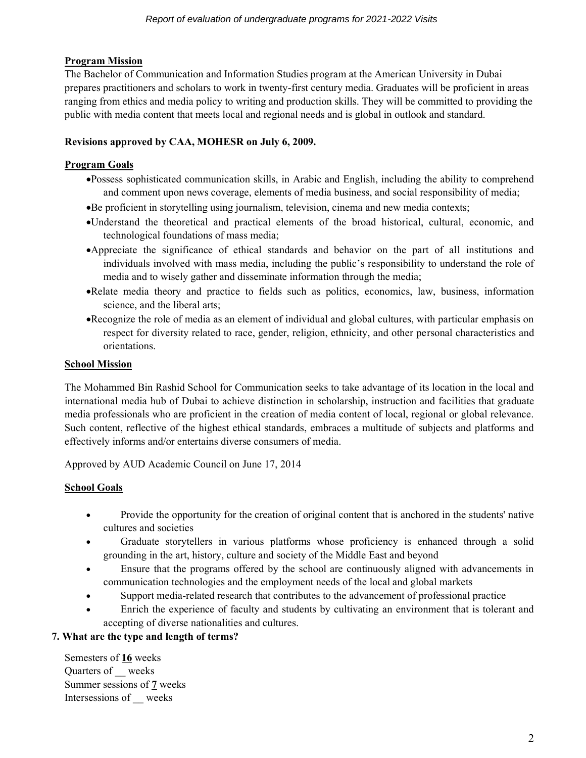# **Program Mission**

The Bachelor of Communication and Information Studies program at the American University in Dubai prepares practitioners and scholars to work in twenty-first century media. Graduates will be proficient in areas ranging from ethics and media policy to writing and production skills. They will be committed to providing the public with media content that meets local and regional needs and is global in outlook and standard.

# **Revisions approved by CAA, MOHESR on July 6, 2009.**

### **Program Goals**

- •Possess sophisticated communication skills, in Arabic and English, including the ability to comprehend and comment upon news coverage, elements of media business, and social responsibility of media;
- •Be proficient in storytelling using journalism, television, cinema and new media contexts;
- •Understand the theoretical and practical elements of the broad historical, cultural, economic, and technological foundations of mass media;
- •Appreciate the significance of ethical standards and behavior on the part of all institutions and individuals involved with mass media, including the public's responsibility to understand the role of media and to wisely gather and disseminate information through the media;
- •Relate media theory and practice to fields such as politics, economics, law, business, information science, and the liberal arts;
- •Recognize the role of media as an element of individual and global cultures, with particular emphasis on respect for diversity related to race, gender, religion, ethnicity, and other personal characteristics and orientations.

#### **School Mission**

The Mohammed Bin Rashid School for Communication seeks to take advantage of its location in the local and international media hub of Dubai to achieve distinction in scholarship, instruction and facilities that graduate media professionals who are proficient in the creation of media content of local, regional or global relevance. Such content, reflective of the highest ethical standards, embraces a multitude of subjects and platforms and effectively informs and/or entertains diverse consumers of media.

Approved by AUD Academic Council on June 17, 2014

# **School Goals**

- Provide the opportunity for the creation of original content that is anchored in the students' native cultures and societies
- Graduate storytellers in various platforms whose proficiency is enhanced through a solid grounding in the art, history, culture and society of the Middle East and beyond
- Ensure that the programs offered by the school are continuously aligned with advancements in communication technologies and the employment needs of the local and global markets
- Support media-related research that contributes to the advancement of professional practice
- Enrich the experience of faculty and students by cultivating an environment that is tolerant and accepting of diverse nationalities and cultures.

# **7. What are the type and length of terms?**

Semesters of **16** weeks Quarters of weeks Summer sessions of **7** weeks Intersessions of \_\_ weeks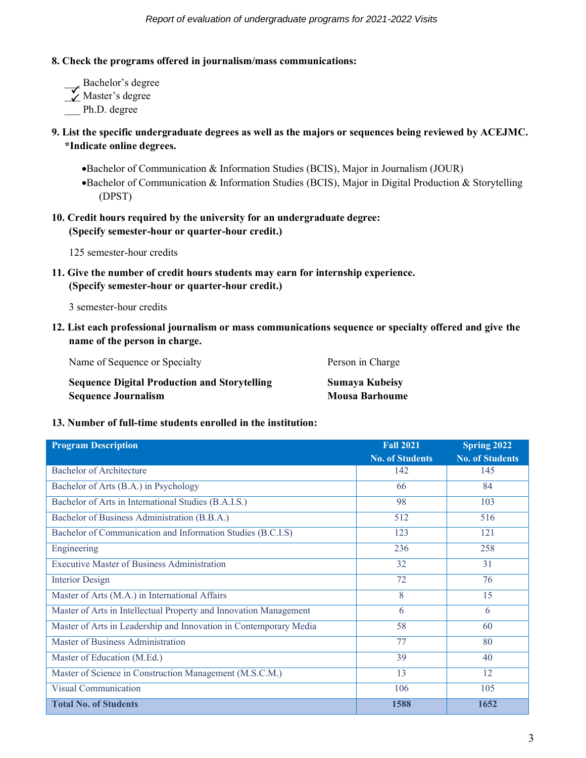#### **8. Check the programs offered in journalism/mass communications:**

\_\_\_ Bachelor's degree  $\overline{\smash{\big)}\phantom{\big)}_{\mathcal{K}}}$  Master's degree Ph.D. degree  $\checkmark$ 

# **9. List the specific undergraduate degrees as well as the majors or sequences being reviewed by ACEJMC. \*Indicate online degrees.**

•Bachelor of Communication & Information Studies (BCIS), Major in Journalism (JOUR) •Bachelor of Communication & Information Studies (BCIS), Major in Digital Production & Storytelling (DPST)

# **10. Credit hours required by the university for an undergraduate degree: (Specify semester-hour or quarter-hour credit.)**

125 semester-hour credits

**11. Give the number of credit hours students may earn for internship experience. (Specify semester-hour or quarter-hour credit.)**

3 semester-hour credits

**12. List each professional journalism or mass communications sequence or specialty offered and give the name of the person in charge.**

| Name of Sequence or Specialty                       | Person in Charge      |
|-----------------------------------------------------|-----------------------|
| <b>Sequence Digital Production and Storytelling</b> | Sumaya Kubeisy        |
| <b>Sequence Journalism</b>                          | <b>Mousa Barhoume</b> |

#### **13. Number of full-time students enrolled in the institution:**

| <b>Program Description</b>                                        | <b>Fall 2021</b><br><b>No. of Students</b> | <b>Spring 2022</b><br><b>No. of Students</b> |
|-------------------------------------------------------------------|--------------------------------------------|----------------------------------------------|
| <b>Bachelor of Architecture</b>                                   | 142                                        | 145                                          |
| Bachelor of Arts (B.A.) in Psychology                             | 66                                         | 84                                           |
| Bachelor of Arts in International Studies (B.A.I.S.)              | 98                                         | 103                                          |
| Bachelor of Business Administration (B.B.A.)                      | 512                                        | 516                                          |
| Bachelor of Communication and Information Studies (B.C.I.S)       | 123                                        | 121                                          |
| Engineering                                                       | 236                                        | 258                                          |
| <b>Executive Master of Business Administration</b>                | 32                                         | 31                                           |
| <b>Interior Design</b>                                            | 72                                         | 76                                           |
| Master of Arts (M.A.) in International Affairs                    | 8                                          | 15                                           |
| Master of Arts in Intellectual Property and Innovation Management | 6                                          | 6                                            |
| Master of Arts in Leadership and Innovation in Contemporary Media | 58                                         | 60                                           |
| Master of Business Administration                                 | 77                                         | 80                                           |
| Master of Education (M.Ed.)                                       | 39                                         | 40                                           |
| Master of Science in Construction Management (M.S.C.M.)           | 13                                         | 12                                           |
| <b>Visual Communication</b>                                       | 106                                        | 105                                          |
| <b>Total No. of Students</b>                                      | 1588                                       | 1652                                         |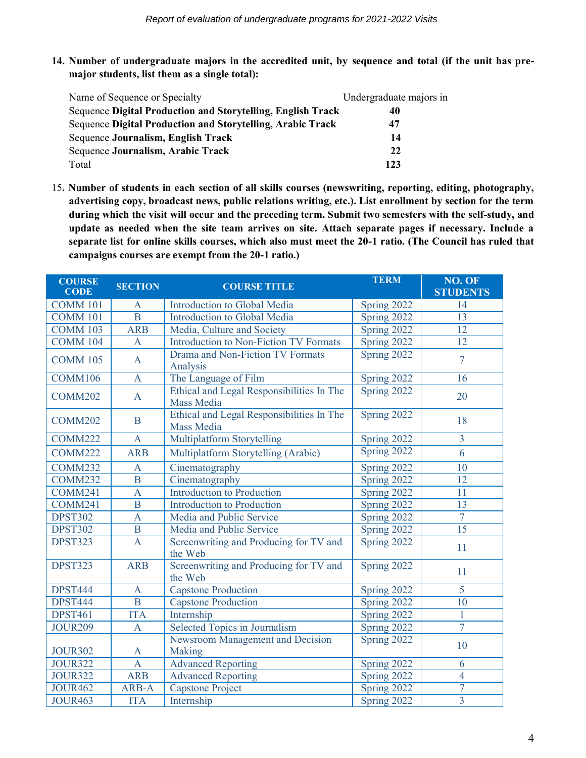**14. Number of undergraduate majors in the accredited unit, by sequence and total (if the unit has premajor students, list them as a single total):**

| Name of Sequence or Specialty                                      | Undergraduate majors in |
|--------------------------------------------------------------------|-------------------------|
| <b>Sequence Digital Production and Storytelling, English Track</b> | 40                      |
| Sequence Digital Production and Storytelling, Arabic Track         | 47                      |
| Sequence Journalism, English Track                                 | 14                      |
| Sequence Journalism, Arabic Track                                  | 22                      |
| Total                                                              | 123                     |

15**. Number of students in each section of all skills courses (newswriting, reporting, editing, photography, advertising copy, broadcast news, public relations writing, etc.). List enrollment by section for the term during which the visit will occur and the preceding term. Submit two semesters with the self-study, and update as needed when the site team arrives on site. Attach separate pages if necessary. Include a separate list for online skills courses, which also must meet the 20-1 ratio. (The Council has ruled that campaigns courses are exempt from the 20-1 ratio.)**

| <b>COURSE</b><br><b>CODE</b> | <b>SECTION</b> | <b>COURSE TITLE</b>                                            | <b>TERM</b> | NO. OF<br><b>STUDENTS</b> |
|------------------------------|----------------|----------------------------------------------------------------|-------------|---------------------------|
| <b>COMM 101</b>              | $\mathbf{A}$   | Introduction to Global Media                                   | Spring 2022 | 14                        |
| <b>COMM 101</b>              | $\overline{B}$ | Introduction to Global Media                                   | Spring 2022 | 13                        |
| <b>COMM 103</b>              | <b>ARB</b>     | Media, Culture and Society                                     | Spring 2022 | 12                        |
| <b>COMM 104</b>              | $\mathbf{A}$   | <b>Introduction to Non-Fiction TV Formats</b>                  | Spring 2022 | 12                        |
| <b>COMM 105</b>              | $\overline{A}$ | Drama and Non-Fiction TV Formats<br>Analysis                   | Spring 2022 | $\overline{7}$            |
| COMM106                      | $\overline{A}$ | The Language of Film                                           | Spring 2022 | 16                        |
| <b>COMM202</b>               | $\mathbf{A}$   | Ethical and Legal Responsibilities In The<br><b>Mass Media</b> | Spring 2022 | 20                        |
| <b>COMM202</b>               | $\mathbf B$    | Ethical and Legal Responsibilities In The<br><b>Mass Media</b> | Spring 2022 | 18                        |
| COMM222                      | $\overline{A}$ | <b>Multiplatform Storytelling</b>                              | Spring 2022 | $\overline{3}$            |
| <b>COMM222</b>               | <b>ARB</b>     | Multiplatform Storytelling (Arabic)                            | Spring 2022 | 6                         |
| COMM232                      | $\mathbf{A}$   | Cinematography                                                 | Spring 2022 | $\overline{10}$           |
| COMM232                      | B              | Cinematography                                                 | Spring 2022 | 12                        |
| COMM241                      | $\mathbf{A}$   | Introduction to Production                                     | Spring 2022 | 11                        |
| COMM241                      | $\overline{B}$ | <b>Introduction to Production</b>                              | Spring 2022 | 13                        |
| <b>DPST302</b>               | $\overline{A}$ | Media and Public Service                                       | Spring 2022 | $\overline{7}$            |
| <b>DPST302</b>               | $\overline{B}$ | Media and Public Service                                       | Spring 2022 | 15                        |
| <b>DPST323</b>               | $\overline{A}$ | Screenwriting and Producing for TV and<br>the Web              | Spring 2022 | 11                        |
| <b>DPST323</b>               | <b>ARB</b>     | Screenwriting and Producing for TV and<br>the Web              | Spring 2022 | 11                        |
| <b>DPST444</b>               | $\mathbf{A}$   | <b>Capstone Production</b>                                     | Spring 2022 | 5                         |
| <b>DPST444</b>               | $\overline{B}$ | <b>Capstone Production</b>                                     | Spring 2022 | $\overline{10}$           |
| <b>DPST461</b>               | <b>ITA</b>     | Internship                                                     | Spring 2022 | $\mathbf{1}$              |
| <b>JOUR209</b>               | $\mathbf{A}$   | Selected Topics in Journalism                                  | Spring 2022 | $\overline{7}$            |
| <b>JOUR302</b>               | $\mathbf{A}$   | Newsroom Management and Decision<br>Making                     | Spring 2022 | 10                        |
| <b>JOUR322</b>               | $\overline{A}$ | <b>Advanced Reporting</b>                                      | Spring 2022 | 6                         |
| <b>JOUR322</b>               | <b>ARB</b>     | <b>Advanced Reporting</b>                                      | Spring 2022 | $\overline{4}$            |
| <b>JOUR462</b>               | ARB-A          | <b>Capstone Project</b>                                        | Spring 2022 | $\overline{7}$            |
| <b>JOUR463</b>               | <b>ITA</b>     | Internship                                                     | Spring 2022 | $\overline{3}$            |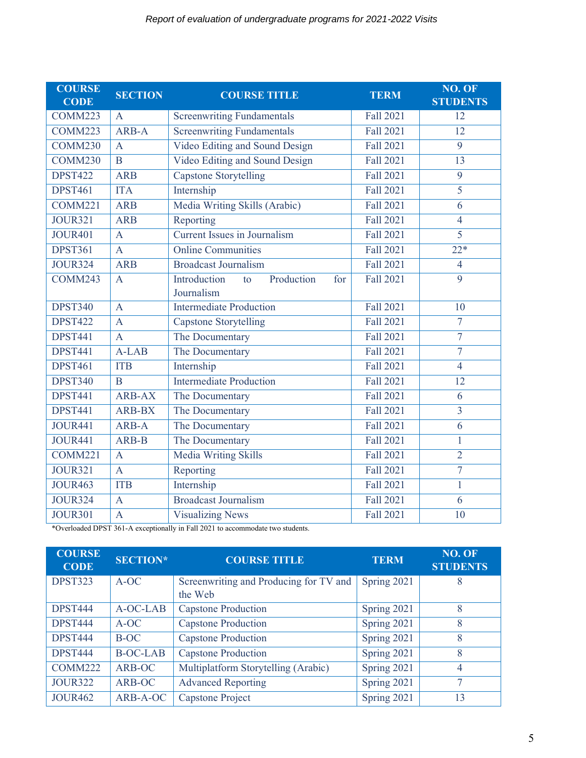| <b>COURSE</b><br><b>CODE</b> | <b>SECTION</b> | <b>COURSE TITLE</b>                     | <b>TERM</b>      | NO. OF<br><b>STUDENTS</b> |
|------------------------------|----------------|-----------------------------------------|------------------|---------------------------|
| COMM223                      | $\mathbf{A}$   | <b>Screenwriting Fundamentals</b>       | <b>Fall 2021</b> | $\overline{12}$           |
| COMM223                      | ARB-A          | <b>Screenwriting Fundamentals</b>       | <b>Fall 2021</b> | 12                        |
| COMM230                      | $\overline{A}$ | Video Editing and Sound Design          | <b>Fall 2021</b> | $\overline{9}$            |
| COMM230                      | B              | Video Editing and Sound Design          | <b>Fall 2021</b> | 13                        |
| <b>DPST422</b>               | <b>ARB</b>     | <b>Capstone Storytelling</b>            | <b>Fall 2021</b> | $\overline{9}$            |
| <b>DPST461</b>               | <b>ITA</b>     | Internship                              | <b>Fall 2021</b> | $\overline{5}$            |
| COMM221                      | <b>ARB</b>     | Media Writing Skills (Arabic)           | <b>Fall 2021</b> | 6                         |
| <b>JOUR321</b>               | <b>ARB</b>     | Reporting                               | <b>Fall 2021</b> | $\overline{4}$            |
| <b>JOUR401</b>               | $\overline{A}$ | <b>Current Issues in Journalism</b>     | <b>Fall 2021</b> | $\overline{5}$            |
| <b>DPST361</b>               | $\overline{A}$ | <b>Online Communities</b>               | <b>Fall 2021</b> | $22*$                     |
| <b>JOUR324</b>               | <b>ARB</b>     | <b>Broadcast Journalism</b>             | <b>Fall 2021</b> | $\overline{4}$            |
| COMM243                      | $\mathbf{A}$   | Introduction<br>Production<br>for<br>to | <b>Fall 2021</b> | $\overline{9}$            |
|                              |                | Journalism                              |                  |                           |
| <b>DPST340</b>               | $\mathbf{A}$   | <b>Intermediate Production</b>          | <b>Fall 2021</b> | 10                        |
| <b>DPST422</b>               | $\overline{A}$ | <b>Capstone Storytelling</b>            | Fall 2021        | $\overline{7}$            |
| <b>DPST441</b>               | $\overline{A}$ | The Documentary                         | <b>Fall 2021</b> | $\overline{7}$            |
| <b>DPST441</b>               | $A-LAB$        | The Documentary                         | <b>Fall 2021</b> | $\overline{7}$            |
| <b>DPST461</b>               | <b>ITB</b>     | Internship                              | <b>Fall 2021</b> | $\overline{4}$            |
| <b>DPST340</b>               | $\overline{B}$ | <b>Intermediate Production</b>          | <b>Fall 2021</b> | 12                        |
| <b>DPST441</b>               | <b>ARB-AX</b>  | The Documentary                         | <b>Fall 2021</b> | 6                         |
| <b>DPST441</b>               | <b>ARB-BX</b>  | The Documentary                         | <b>Fall 2021</b> | $\overline{3}$            |
| <b>JOUR441</b>               | ARB-A          | The Documentary                         | <b>Fall 2021</b> | 6                         |
| <b>JOUR441</b>               | ARB-B          | The Documentary                         | <b>Fall 2021</b> | $\mathbf{1}$              |
| COMM221                      | $\overline{A}$ | <b>Media Writing Skills</b>             | <b>Fall 2021</b> | $\overline{2}$            |
| <b>JOUR321</b>               | $\overline{A}$ | Reporting                               | <b>Fall 2021</b> | $\overline{7}$            |
| <b>JOUR463</b>               | <b>ITB</b>     | Internship                              | <b>Fall 2021</b> | $\overline{1}$            |
| <b>JOUR324</b>               | $\mathbf{A}$   | <b>Broadcast Journalism</b>             | <b>Fall 2021</b> | 6                         |
| <b>JOUR301</b>               | $\mathbf{A}$   | <b>Visualizing News</b>                 | <b>Fall 2021</b> | 10                        |

\*Overloaded DPST 361-A exceptionally in Fall 2021 to accommodate two students.

| <b>COURSE</b><br><b>CODE</b> | <b>SECTION*</b> | <b>COURSE TITLE</b>                    | <b>TERM</b> | NO. OF<br><b>STUDENTS</b> |
|------------------------------|-----------------|----------------------------------------|-------------|---------------------------|
| <b>DPST323</b>               | A-OC            | Screenwriting and Producing for TV and | Spring 2021 | 8                         |
|                              |                 | the Web                                |             |                           |
| <b>DPST444</b>               | A-OC-LAB        | <b>Capstone Production</b>             | Spring 2021 | 8                         |
| <b>DPST444</b>               | A-OC            | <b>Capstone Production</b>             | Spring 2021 | 8                         |
| <b>DPST444</b>               | B-OC            | <b>Capstone Production</b>             | Spring 2021 | 8                         |
| <b>DPST444</b>               | <b>B-OC-LAB</b> | <b>Capstone Production</b>             | Spring 2021 | 8                         |
| COMM222                      | ARB-OC          | Multiplatform Storytelling (Arabic)    | Spring 2021 | 4                         |
| <b>JOUR322</b>               | ARB-OC          | <b>Advanced Reporting</b>              | Spring 2021 | 7                         |
| <b>JOUR462</b>               | ARB-A-OC        | <b>Capstone Project</b>                | Spring 2021 | 13                        |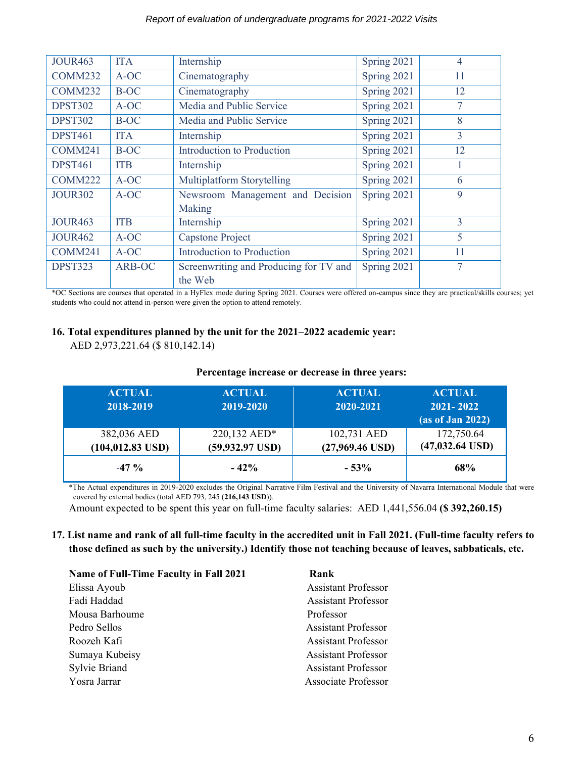#### *Report of evaluation of undergraduate programs for 2021-2022 Visits*

| <b>JOUR463</b> | <b>ITA</b>  | Internship                             | Spring 2021 | $\overline{4}$ |
|----------------|-------------|----------------------------------------|-------------|----------------|
| COMM232        | A-OC        | Cinematography                         | Spring 2021 | 11             |
| COMM232        | <b>B-OC</b> | Cinematography                         | Spring 2021 | 12             |
| <b>DPST302</b> | A-OC        | Media and Public Service               | Spring 2021 | 7              |
| <b>DPST302</b> | <b>B-OC</b> | Media and Public Service               | Spring 2021 | 8              |
| <b>DPST461</b> | <b>ITA</b>  | Internship                             | Spring 2021 | $\overline{3}$ |
| COMM241        | <b>B-OC</b> | Introduction to Production             | Spring 2021 | 12             |
| <b>DPST461</b> | <b>ITB</b>  | Internship                             | Spring 2021 | 1              |
| COMM222        | A-OC        | Multiplatform Storytelling             | Spring 2021 | 6              |
| <b>JOUR302</b> | A-OC        | Newsroom Management and Decision       | Spring 2021 | 9              |
|                |             | <b>Making</b>                          |             |                |
| <b>JOUR463</b> | <b>ITB</b>  | Internship                             | Spring 2021 | $\overline{3}$ |
| <b>JOUR462</b> | A-OC        | <b>Capstone Project</b>                | Spring 2021 | 5              |
| COMM241        | A-OC        | Introduction to Production             | Spring 2021 | 11             |
| DPST323        | ARB-OC      | Screenwriting and Producing for TV and | Spring 2021 | 7              |
|                |             | the Web                                |             |                |

\*OC Sections are courses that operated in a HyFlex mode during Spring 2021. Courses were offered on-campus since they are practical/skills courses; yet students who could not attend in-person were given the option to attend remotely.

#### **16. Total expenditures planned by the unit for the 2021–2022 academic year:**

AED 2,973,221.64 (\$ 810,142.14)

#### **Percentage increase or decrease in three years:**

| <b>ACTUAL</b><br>2018-2019         | <b>ACTUAL</b><br>2019-2020         | <b>ACTUAL</b><br>2020-2021       | <b>ACTUAL</b><br>2021-2022<br>$(a)$ s of Jan 2022) |
|------------------------------------|------------------------------------|----------------------------------|----------------------------------------------------|
| 382,036 AED<br>$(104, 012.83$ USD) | 220,132 AED*<br>$(59, 932.97$ USD) | 102,731 AED<br>$(27,969.46$ USD) | 172,750.64<br>$(47,032.64$ USD)                    |
| $-47\%$                            | $-42%$                             | $-53%$                           | 68%                                                |

\*The Actual expenditures in 2019-2020 excludes the Original Narrative Film Festival and the University of Navarra International Module that were covered by external bodies (total AED 793, 245 (**216,143 USD**)).

Amount expected to be spent this year on full-time faculty salaries: AED 1,441,556.04 **(\$ 392,260.15)**

#### **17. List name and rank of all full-time faculty in the accredited unit in Fall 2021. (Full-time faculty refers to those defined as such by the university.) Identify those not teaching because of leaves, sabbaticals, etc.**

| <b>Name of Full-Time Faculty in Fall 2021</b> | Rank                       |
|-----------------------------------------------|----------------------------|
| Elissa Ayoub                                  | <b>Assistant Professor</b> |
| Fadi Haddad                                   | <b>Assistant Professor</b> |
| Mousa Barhoume                                | Professor                  |
| Pedro Sellos                                  | <b>Assistant Professor</b> |
| Roozeh Kafi                                   | <b>Assistant Professor</b> |
| Sumaya Kubeisy                                | <b>Assistant Professor</b> |
| <b>Sylvie Briand</b>                          | <b>Assistant Professor</b> |
| Yosra Jarrar                                  | <b>Associate Professor</b> |
|                                               |                            |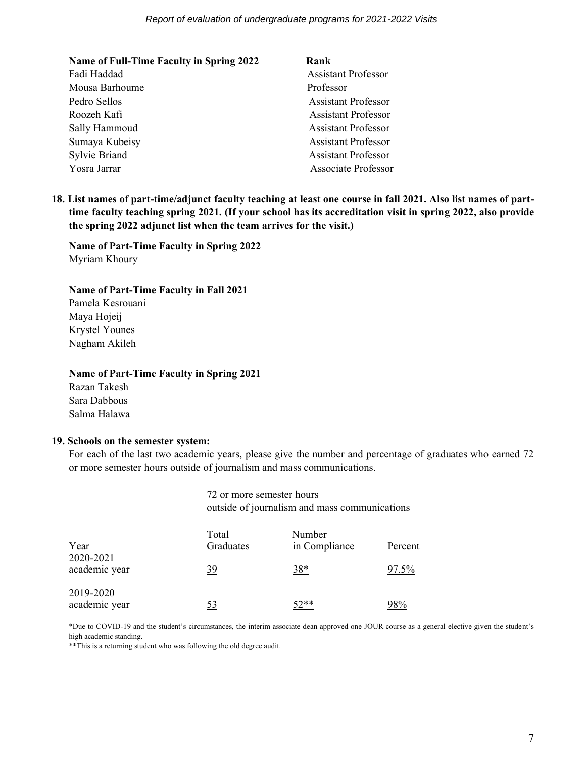| <b>Name of Full-Time Faculty in Spring 2022</b> | Rank                       |
|-------------------------------------------------|----------------------------|
| Fadi Haddad                                     | <b>Assistant Professor</b> |
| Mousa Barhoume                                  | Professor                  |
| Pedro Sellos                                    | <b>Assistant Professor</b> |
| Roozeh Kafi                                     | <b>Assistant Professor</b> |
| Sally Hammoud                                   | <b>Assistant Professor</b> |
| Sumaya Kubeisy                                  | <b>Assistant Professor</b> |
| <b>Sylvie Briand</b>                            | <b>Assistant Professor</b> |
| Yosra Jarrar                                    | <b>Associate Professor</b> |

**18. List names of part-time/adjunct faculty teaching at least one course in fall 2021. Also list names of parttime faculty teaching spring 2021. (If your school has its accreditation visit in spring 2022, also provide the spring 2022 adjunct list when the team arrives for the visit.)**

**Name of Part-Time Faculty in Spring 2022**  Myriam Khoury

#### **Name of Part-Time Faculty in Fall 2021**

Pamela Kesrouani Maya Hojeij Krystel Younes Nagham Akileh

#### **Name of Part-Time Faculty in Spring 2021**

Razan Takesh Sara Dabbous Salma Halawa

#### **19. Schools on the semester system:**

For each of the last two academic years, please give the number and percentage of graduates who earned 72 or more semester hours outside of journalism and mass communications.

> 72 or more semester hours outside of journalism and mass communications

| Year<br>2020-2021          | Total<br>Graduates | Number<br>in Compliance | Percent |
|----------------------------|--------------------|-------------------------|---------|
| academic year              | <u>39</u>          | $38*$                   | 97.5%   |
| 2019-2020<br>academic year | 53                 | 52**                    | ി $8\%$ |

\*Due to COVID-19 and the student's circumstances, the interim associate dean approved one JOUR course as a general elective given the student's high academic standing.

\*\*This is a returning student who was following the old degree audit.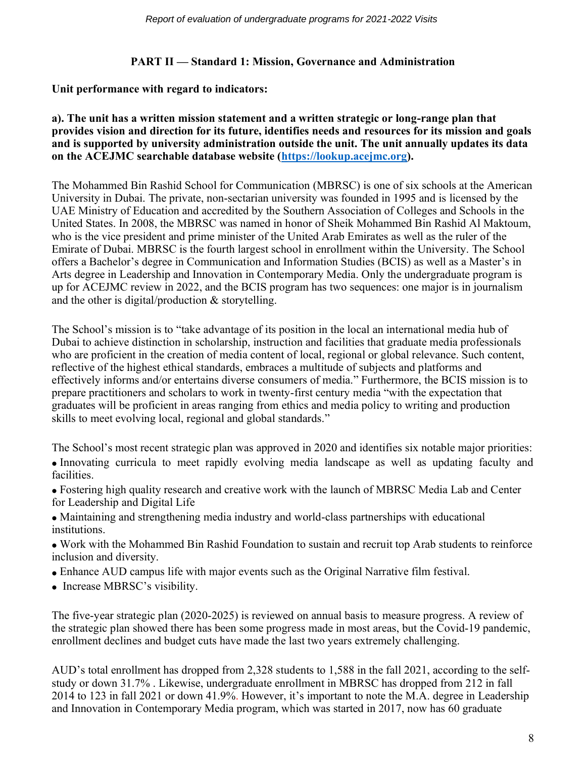# **PART II — Standard 1: Mission, Governance and Administration**

# **Unit performance with regard to indicators:**

#### **a). The unit has a written mission statement and a written strategic or long-range plan that provides vision and direction for its future, identifies needs and resources for its mission and goals and is supported by university administration outside the unit. The unit annually updates its data on the ACEJMC searchable database website [\(https://lookup.acejmc.org\)](https://lookup.acejmc.org/).**

The Mohammed Bin Rashid School for Communication (MBRSC) is one of six schools at the American University in Dubai. The private, non-sectarian university was founded in 1995 and is licensed by the UAE Ministry of Education and accredited by the Southern Association of Colleges and Schools in the United States. In 2008, the MBRSC was named in honor of Sheik Mohammed Bin Rashid Al Maktoum, who is the vice president and prime minister of the United Arab Emirates as well as the ruler of the Emirate of Dubai. MBRSC is the fourth largest school in enrollment within the University. The School offers a Bachelor's degree in Communication and Information Studies (BCIS) as well as a Master's in Arts degree in Leadership and Innovation in Contemporary Media. Only the undergraduate program is up for ACEJMC review in 2022, and the BCIS program has two sequences: one major is in journalism and the other is digital/production & storytelling.

The School's mission is to "take advantage of its position in the local an international media hub of Dubai to achieve distinction in scholarship, instruction and facilities that graduate media professionals who are proficient in the creation of media content of local, regional or global relevance. Such content, reflective of the highest ethical standards, embraces a multitude of subjects and platforms and effectively informs and/or entertains diverse consumers of media." Furthermore, the BCIS mission is to prepare practitioners and scholars to work in twenty-first century media "with the expectation that graduates will be proficient in areas ranging from ethics and media policy to writing and production skills to meet evolving local, regional and global standards."

The School's most recent strategic plan was approved in 2020 and identifies six notable major priorities:

- Innovating curricula to meet rapidly evolving media landscape as well as updating faculty and facilities.
- Fostering high quality research and creative work with the launch of MBRSC Media Lab and Center for Leadership and Digital Life
- Maintaining and strengthening media industry and world-class partnerships with educational institutions.
- Work with the Mohammed Bin Rashid Foundation to sustain and recruit top Arab students to reinforce inclusion and diversity.
- Enhance AUD campus life with major events such as the Original Narrative film festival.
- Increase MBRSC's visibility.

The five-year strategic plan (2020-2025) is reviewed on annual basis to measure progress. A review of the strategic plan showed there has been some progress made in most areas, but the Covid-19 pandemic, enrollment declines and budget cuts have made the last two years extremely challenging.

AUD's total enrollment has dropped from 2,328 students to 1,588 in the fall 2021, according to the selfstudy or down 31.7% . Likewise, undergraduate enrollment in MBRSC has dropped from 212 in fall 2014 to 123 in fall 2021 or down 41.9%. However, it's important to note the M.A. degree in Leadership and Innovation in Contemporary Media program, which was started in 2017, now has 60 graduate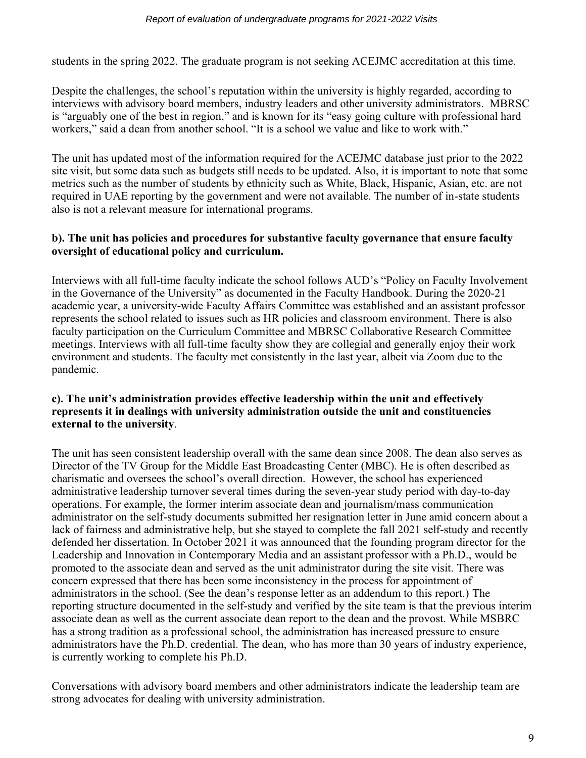students in the spring 2022. The graduate program is not seeking ACEJMC accreditation at this time.

Despite the challenges, the school's reputation within the university is highly regarded, according to interviews with advisory board members, industry leaders and other university administrators. MBRSC is "arguably one of the best in region," and is known for its "easy going culture with professional hard workers," said a dean from another school. "It is a school we value and like to work with."

The unit has updated most of the information required for the ACEJMC database just prior to the 2022 site visit, but some data such as budgets still needs to be updated. Also, it is important to note that some metrics such as the number of students by ethnicity such as White, Black, Hispanic, Asian, etc. are not required in UAE reporting by the government and were not available. The number of in-state students also is not a relevant measure for international programs.

# **b). The unit has policies and procedures for substantive faculty governance that ensure faculty oversight of educational policy and curriculum.**

Interviews with all full-time faculty indicate the school follows AUD's "Policy on Faculty Involvement in the Governance of the University" as documented in the Faculty Handbook. During the 2020-21 academic year, a university-wide Faculty Affairs Committee was established and an assistant professor represents the school related to issues such as HR policies and classroom environment. There is also faculty participation on the Curriculum Committee and MBRSC Collaborative Research Committee meetings. Interviews with all full-time faculty show they are collegial and generally enjoy their work environment and students. The faculty met consistently in the last year, albeit via Zoom due to the pandemic.

# **c). The unit's administration provides effective leadership within the unit and effectively represents it in dealings with university administration outside the unit and constituencies external to the university**.

The unit has seen consistent leadership overall with the same dean since 2008. The dean also serves as Director of the TV Group for the Middle East Broadcasting Center (MBC). He is often described as charismatic and oversees the school's overall direction. However, the school has experienced administrative leadership turnover several times during the seven-year study period with day-to-day operations. For example, the former interim associate dean and journalism/mass communication administrator on the self-study documents submitted her resignation letter in June amid concern about a lack of fairness and administrative help, but she stayed to complete the fall 2021 self-study and recently defended her dissertation. In October 2021 it was announced that the founding program director for the Leadership and Innovation in Contemporary Media and an assistant professor with a Ph.D., would be promoted to the associate dean and served as the unit administrator during the site visit. There was concern expressed that there has been some inconsistency in the process for appointment of administrators in the school. (See the dean's response letter as an addendum to this report.) The reporting structure documented in the self-study and verified by the site team is that the previous interim associate dean as well as the current associate dean report to the dean and the provost. While MSBRC has a strong tradition as a professional school, the administration has increased pressure to ensure administrators have the Ph.D. credential. The dean, who has more than 30 years of industry experience, is currently working to complete his Ph.D.

Conversations with advisory board members and other administrators indicate the leadership team are strong advocates for dealing with university administration.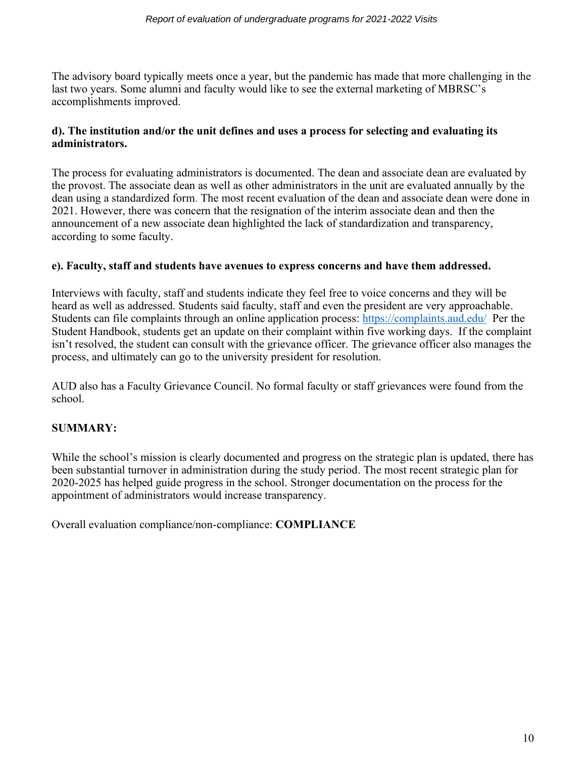The advisory board typically meets once a year, but the pandemic has made that more challenging in the last two years. Some alumni and faculty would like to see the external marketing of MBRSC's accomplishments improved.

# **d). The institution and/or the unit defines and uses a process for selecting and evaluating its administrators.**

The process for evaluating administrators is documented. The dean and associate dean are evaluated by the provost. The associate dean as well as other administrators in the unit are evaluated annually by the dean using a standardized form. The most recent evaluation of the dean and associate dean were done in 2021. However, there was concern that the resignation of the interim associate dean and then the announcement of a new associate dean highlighted the lack of standardization and transparency, according to some faculty.

# **e). Faculty, staff and students have avenues to express concerns and have them addressed.**

Interviews with faculty, staff and students indicate they feel free to voice concerns and they will be heard as well as addressed. Students said faculty, staff and even the president are very approachable. Students can file complaints through an online application process:<https://complaints.aud.edu/>Per the Student Handbook, students get an update on their complaint within five working days. If the complaint isn't resolved, the student can consult with the grievance officer. The grievance officer also manages the process, and ultimately can go to the university president for resolution.

AUD also has a Faculty Grievance Council. No formal faculty or staff grievances were found from the school.

# **SUMMARY:**

While the school's mission is clearly documented and progress on the strategic plan is updated, there has been substantial turnover in administration during the study period. The most recent strategic plan for 2020-2025 has helped guide progress in the school. Stronger documentation on the process for the appointment of administrators would increase transparency.

Overall evaluation compliance/non-compliance: **COMPLIANCE**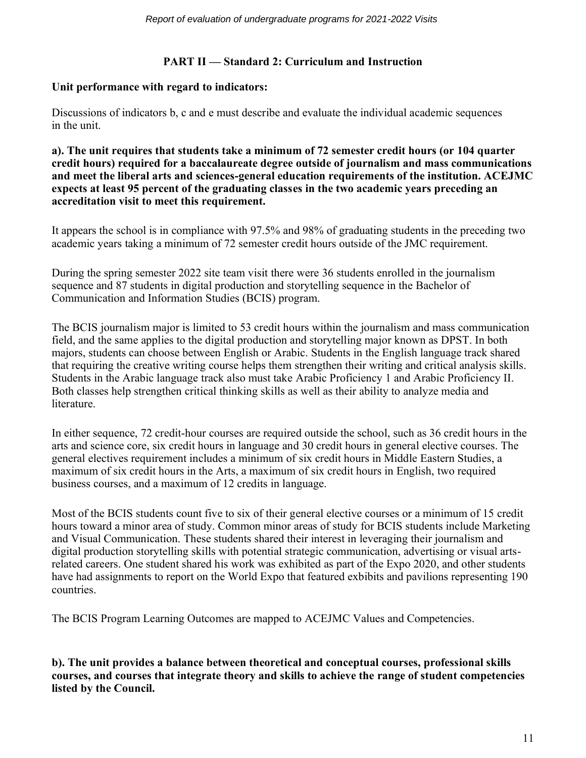# **PART II — Standard 2: Curriculum and Instruction**

### **Unit performance with regard to indicators:**

Discussions of indicators b, c and e must describe and evaluate the individual academic sequences in the unit.

**a). The unit requires that students take a minimum of 72 semester credit hours (or 104 quarter credit hours) required for a baccalaureate degree outside of journalism and mass communications and meet the liberal arts and sciences-general education requirements of the institution. ACEJMC expects at least 95 percent of the graduating classes in the two academic years preceding an accreditation visit to meet this requirement.**

It appears the school is in compliance with 97.5% and 98% of graduating students in the preceding two academic years taking a minimum of 72 semester credit hours outside of the JMC requirement.

During the spring semester 2022 site team visit there were 36 students enrolled in the journalism sequence and 87 students in digital production and storytelling sequence in the Bachelor of Communication and Information Studies (BCIS) program.

The BCIS journalism major is limited to 53 credit hours within the journalism and mass communication field, and the same applies to the digital production and storytelling major known as DPST. In both majors, students can choose between English or Arabic. Students in the English language track shared that requiring the creative writing course helps them strengthen their writing and critical analysis skills. Students in the Arabic language track also must take Arabic Proficiency 1 and Arabic Proficiency II. Both classes help strengthen critical thinking skills as well as their ability to analyze media and literature.

In either sequence, 72 credit-hour courses are required outside the school, such as 36 credit hours in the arts and science core, six credit hours in language and 30 credit hours in general elective courses. The general electives requirement includes a minimum of six credit hours in Middle Eastern Studies, a maximum of six credit hours in the Arts, a maximum of six credit hours in English, two required business courses, and a maximum of 12 credits in language.

Most of the BCIS students count five to six of their general elective courses or a minimum of 15 credit hours toward a minor area of study. Common minor areas of study for BCIS students include Marketing and Visual Communication. These students shared their interest in leveraging their journalism and digital production storytelling skills with potential strategic communication, advertising or visual artsrelated careers. One student shared his work was exhibited as part of the Expo 2020, and other students have had assignments to report on the World Expo that featured exbibits and pavilions representing 190 countries.

The BCIS Program Learning Outcomes are mapped to ACEJMC Values and Competencies.

**b). The unit provides a balance between theoretical and conceptual courses, professional skills courses, and courses that integrate theory and skills to achieve the range of student competencies listed by the Council.**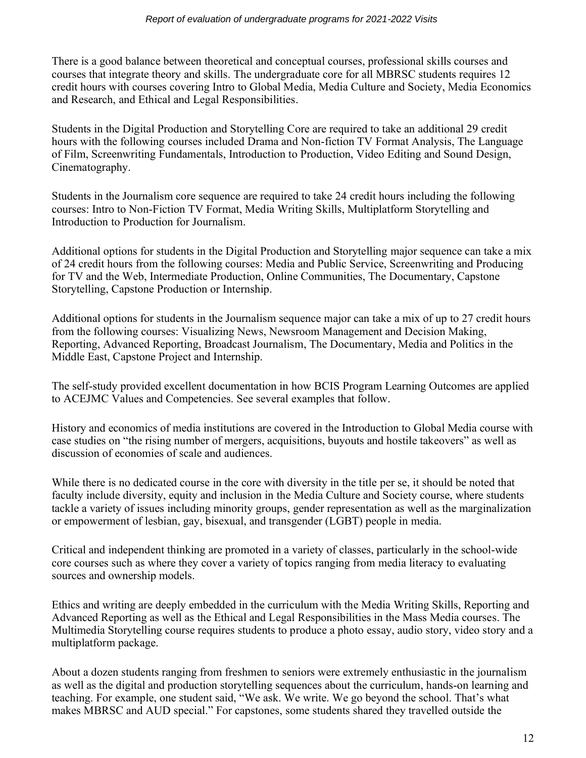There is a good balance between theoretical and conceptual courses, professional skills courses and courses that integrate theory and skills. The undergraduate core for all MBRSC students requires 12 credit hours with courses covering Intro to Global Media, Media Culture and Society, Media Economics and Research, and Ethical and Legal Responsibilities.

Students in the Digital Production and Storytelling Core are required to take an additional 29 credit hours with the following courses included Drama and Non-fiction TV Format Analysis, The Language of Film, Screenwriting Fundamentals, Introduction to Production, Video Editing and Sound Design, Cinematography.

Students in the Journalism core sequence are required to take 24 credit hours including the following courses: Intro to Non-Fiction TV Format, Media Writing Skills, Multiplatform Storytelling and Introduction to Production for Journalism.

Additional options for students in the Digital Production and Storytelling major sequence can take a mix of 24 credit hours from the following courses: Media and Public Service, Screenwriting and Producing for TV and the Web, Intermediate Production, Online Communities, The Documentary, Capstone Storytelling, Capstone Production or Internship.

Additional options for students in the Journalism sequence major can take a mix of up to 27 credit hours from the following courses: Visualizing News, Newsroom Management and Decision Making, Reporting, Advanced Reporting, Broadcast Journalism, The Documentary, Media and Politics in the Middle East, Capstone Project and Internship.

The self-study provided excellent documentation in how BCIS Program Learning Outcomes are applied to ACEJMC Values and Competencies. See several examples that follow.

History and economics of media institutions are covered in the Introduction to Global Media course with case studies on "the rising number of mergers, acquisitions, buyouts and hostile takeovers" as well as discussion of economies of scale and audiences.

While there is no dedicated course in the core with diversity in the title per se, it should be noted that faculty include diversity, equity and inclusion in the Media Culture and Society course, where students tackle a variety of issues including minority groups, gender representation as well as the marginalization or empowerment of lesbian, gay, bisexual, and transgender (LGBT) people in media.

Critical and independent thinking are promoted in a variety of classes, particularly in the school-wide core courses such as where they cover a variety of topics ranging from media literacy to evaluating sources and ownership models.

Ethics and writing are deeply embedded in the curriculum with the Media Writing Skills, Reporting and Advanced Reporting as well as the Ethical and Legal Responsibilities in the Mass Media courses. The Multimedia Storytelling course requires students to produce a photo essay, audio story, video story and a multiplatform package.

About a dozen students ranging from freshmen to seniors were extremely enthusiastic in the journalism as well as the digital and production storytelling sequences about the curriculum, hands-on learning and teaching. For example, one student said, "We ask. We write. We go beyond the school. That's what makes MBRSC and AUD special." For capstones, some students shared they travelled outside the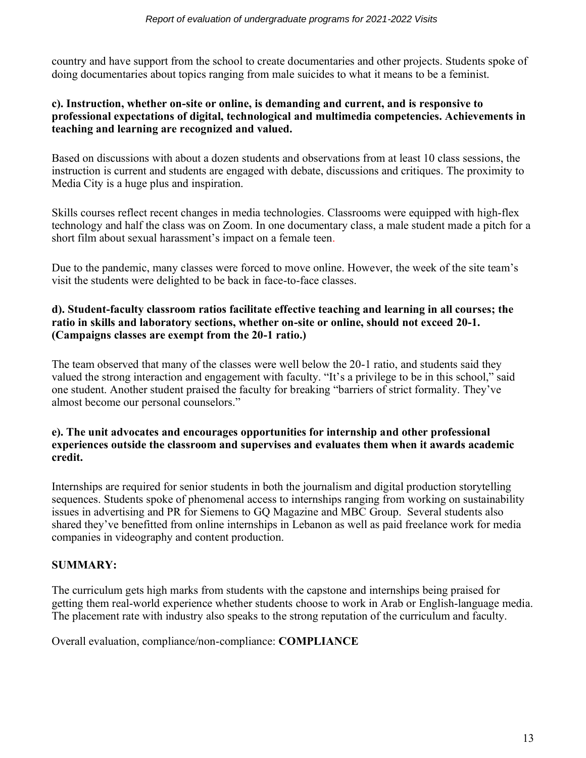country and have support from the school to create documentaries and other projects. Students spoke of doing documentaries about topics ranging from male suicides to what it means to be a feminist.

# **c). Instruction, whether on-site or online, is demanding and current, and is responsive to professional expectations of digital, technological and multimedia competencies. Achievements in teaching and learning are recognized and valued.**

Based on discussions with about a dozen students and observations from at least 10 class sessions, the instruction is current and students are engaged with debate, discussions and critiques. The proximity to Media City is a huge plus and inspiration.

Skills courses reflect recent changes in media technologies. Classrooms were equipped with high-flex technology and half the class was on Zoom. In one documentary class, a male student made a pitch for a short film about sexual harassment's impact on a female teen.

Due to the pandemic, many classes were forced to move online. However, the week of the site team's visit the students were delighted to be back in face-to-face classes.

# **d). Student-faculty classroom ratios facilitate effective teaching and learning in all courses; the ratio in skills and laboratory sections, whether on-site or online, should not exceed 20-1. (Campaigns classes are exempt from the 20-1 ratio.)**

The team observed that many of the classes were well below the 20-1 ratio, and students said they valued the strong interaction and engagement with faculty. "It's a privilege to be in this school," said one student. Another student praised the faculty for breaking "barriers of strict formality. They've almost become our personal counselors."

# **e). The unit advocates and encourages opportunities for internship and other professional experiences outside the classroom and supervises and evaluates them when it awards academic credit.**

Internships are required for senior students in both the journalism and digital production storytelling sequences. Students spoke of phenomenal access to internships ranging from working on sustainability issues in advertising and PR for Siemens to GQ Magazine and MBC Group. Several students also shared they've benefitted from online internships in Lebanon as well as paid freelance work for media companies in videography and content production.

# **SUMMARY:**

The curriculum gets high marks from students with the capstone and internships being praised for getting them real-world experience whether students choose to work in Arab or English-language media. The placement rate with industry also speaks to the strong reputation of the curriculum and faculty.

Overall evaluation, compliance/non-compliance: **COMPLIANCE**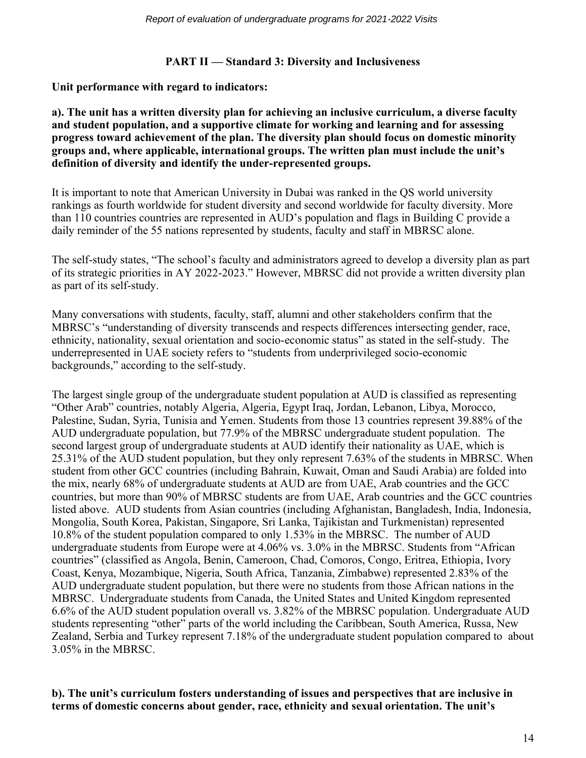# **PART II — Standard 3: Diversity and Inclusiveness**

**Unit performance with regard to indicators:**

**a). The unit has a written diversity plan for achieving an inclusive curriculum, a diverse faculty and student population, and a supportive climate for working and learning and for assessing progress toward achievement of the plan. The diversity plan should focus on domestic minority groups and, where applicable, international groups. The written plan must include the unit's definition of diversity and identify the under-represented groups.**

It is important to note that American University in Dubai was ranked in the QS world university rankings as fourth worldwide for student diversity and second worldwide for faculty diversity. More than 110 countries countries are represented in AUD's population and flags in Building C provide a daily reminder of the 55 nations represented by students, faculty and staff in MBRSC alone.

The self-study states, "The school's faculty and administrators agreed to develop a diversity plan as part of its strategic priorities in AY 2022-2023." However, MBRSC did not provide a written diversity plan as part of its self-study.

Many conversations with students, faculty, staff, alumni and other stakeholders confirm that the MBRSC's "understanding of diversity transcends and respects differences intersecting gender, race, ethnicity, nationality, sexual orientation and socio-economic status" as stated in the self-study. The underrepresented in UAE society refers to "students from underprivileged socio-economic backgrounds," according to the self-study.

The largest single group of the undergraduate student population at AUD is classified as representing "Other Arab" countries, notably Algeria, Algeria, Egypt Iraq, Jordan, Lebanon, Libya, Morocco, Palestine, Sudan, Syria, Tunisia and Yemen. Students from those 13 countries represent 39.88% of the AUD undergraduate population, but 77.9% of the MBRSC undergraduate student population. The second largest group of undergraduate students at AUD identify their nationality as UAE, which is 25.31% of the AUD student population, but they only represent 7.63% of the students in MBRSC. When student from other GCC countries (including Bahrain, Kuwait, Oman and Saudi Arabia) are folded into the mix, nearly 68% of undergraduate students at AUD are from UAE, Arab countries and the GCC countries, but more than 90% of MBRSC students are from UAE, Arab countries and the GCC countries listed above. AUD students from Asian countries (including Afghanistan, Bangladesh, India, Indonesia, Mongolia, South Korea, Pakistan, Singapore, Sri Lanka, Tajikistan and Turkmenistan) represented 10.8% of the student population compared to only 1.53% in the MBRSC. The number of AUD undergraduate students from Europe were at 4.06% vs. 3.0% in the MBRSC. Students from "African countries" (classified as Angola, Benin, Cameroon, Chad, Comoros, Congo, Eritrea, Ethiopia, Ivory Coast, Kenya, Mozambique, Nigeria, South Africa, Tanzania, Zimbabwe) represented 2.83% of the AUD undergraduate student population, but there were no students from those African nations in the MBRSC. Undergraduate students from Canada, the United States and United Kingdom represented 6.6% of the AUD student population overall vs. 3.82% of the MBRSC population. Undergraduate AUD students representing "other" parts of the world including the Caribbean, South America, Russa, New Zealand, Serbia and Turkey represent 7.18% of the undergraduate student population compared to about 3.05% in the MBRSC.

# **b). The unit's curriculum fosters understanding of issues and perspectives that are inclusive in terms of domestic concerns about gender, race, ethnicity and sexual orientation. The unit's**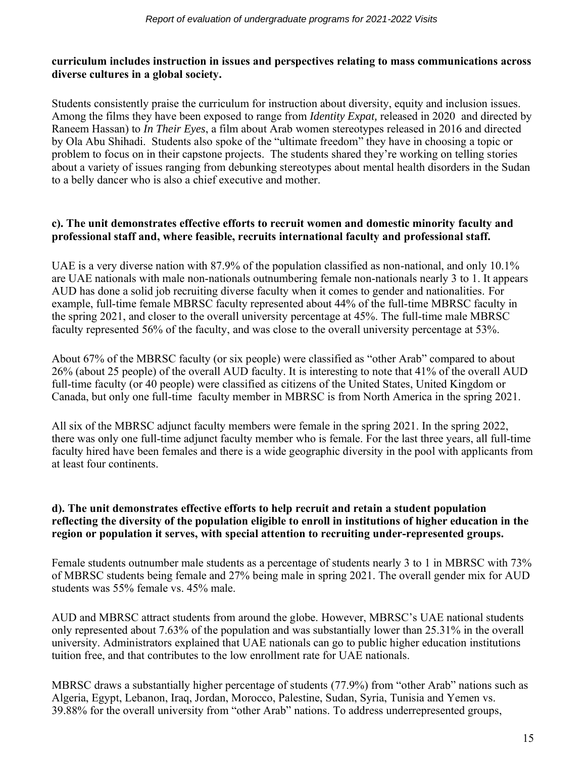# **curriculum includes instruction in issues and perspectives relating to mass communications across diverse cultures in a global society.**

Students consistently praise the curriculum for instruction about diversity, equity and inclusion issues. Among the films they have been exposed to range from *Identity Expat,* released in 2020 and directed by Raneem Hassan) to *In Their Eyes*, a film about Arab women stereotypes released in 2016 and directed by Ola Abu Shihadi. Students also spoke of the "ultimate freedom" they have in choosing a topic or problem to focus on in their capstone projects. The students shared they're working on telling stories about a variety of issues ranging from debunking stereotypes about mental health disorders in the Sudan to a belly dancer who is also a chief executive and mother.

# **c). The unit demonstrates effective efforts to recruit women and domestic minority faculty and professional staff and, where feasible, recruits international faculty and professional staff.**

UAE is a very diverse nation with 87.9% of the population classified as non-national, and only 10.1% are UAE nationals with male non-nationals outnumbering female non-nationals nearly 3 to 1. It appears AUD has done a solid job recruiting diverse faculty when it comes to gender and nationalities. For example, full-time female MBRSC faculty represented about 44% of the full-time MBRSC faculty in the spring 2021, and closer to the overall university percentage at 45%. The full-time male MBRSC faculty represented 56% of the faculty, and was close to the overall university percentage at 53%.

About 67% of the MBRSC faculty (or six people) were classified as "other Arab" compared to about 26% (about 25 people) of the overall AUD faculty. It is interesting to note that 41% of the overall AUD full-time faculty (or 40 people) were classified as citizens of the United States, United Kingdom or Canada, but only one full-time faculty member in MBRSC is from North America in the spring 2021.

All six of the MBRSC adjunct faculty members were female in the spring 2021. In the spring 2022, there was only one full-time adjunct faculty member who is female. For the last three years, all full-time faculty hired have been females and there is a wide geographic diversity in the pool with applicants from at least four continents.

# **d). The unit demonstrates effective efforts to help recruit and retain a student population reflecting the diversity of the population eligible to enroll in institutions of higher education in the region or population it serves, with special attention to recruiting under-represented groups.**

Female students outnumber male students as a percentage of students nearly 3 to 1 in MBRSC with 73% of MBRSC students being female and 27% being male in spring 2021. The overall gender mix for AUD students was 55% female vs. 45% male.

AUD and MBRSC attract students from around the globe. However, MBRSC's UAE national students only represented about 7.63% of the population and was substantially lower than 25.31% in the overall university. Administrators explained that UAE nationals can go to public higher education institutions tuition free, and that contributes to the low enrollment rate for UAE nationals.

MBRSC draws a substantially higher percentage of students (77.9%) from "other Arab" nations such as Algeria, Egypt, Lebanon, Iraq, Jordan, Morocco, Palestine, Sudan, Syria, Tunisia and Yemen vs. 39.88% for the overall university from "other Arab" nations. To address underrepresented groups,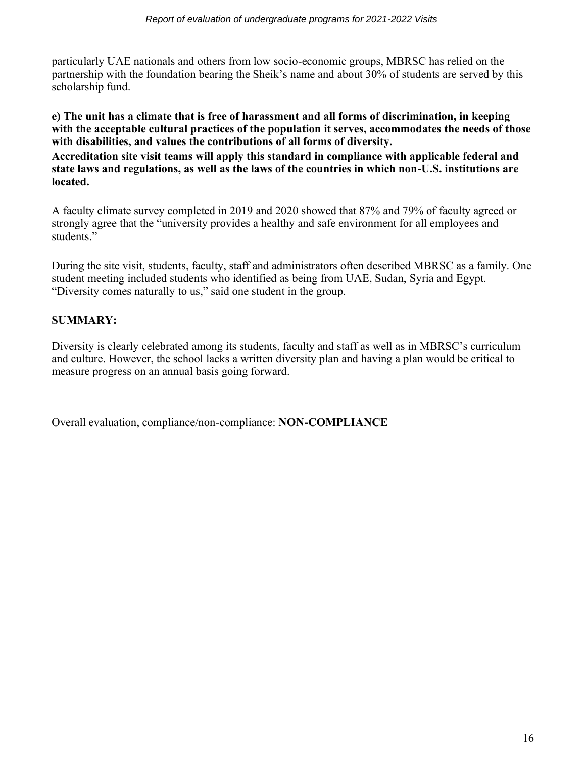particularly UAE nationals and others from low socio-economic groups, MBRSC has relied on the partnership with the foundation bearing the Sheik's name and about 30% of students are served by this scholarship fund.

**e) The unit has a climate that is free of harassment and all forms of discrimination, in keeping with the acceptable cultural practices of the population it serves, accommodates the needs of those with disabilities, and values the contributions of all forms of diversity.**

**Accreditation site visit teams will apply this standard in compliance with applicable federal and state laws and regulations, as well as the laws of the countries in which non-U.S. institutions are located.**

A faculty climate survey completed in 2019 and 2020 showed that 87% and 79% of faculty agreed or strongly agree that the "university provides a healthy and safe environment for all employees and students."

During the site visit, students, faculty, staff and administrators often described MBRSC as a family. One student meeting included students who identified as being from UAE, Sudan, Syria and Egypt. "Diversity comes naturally to us," said one student in the group.

# **SUMMARY:**

Diversity is clearly celebrated among its students, faculty and staff as well as in MBRSC's curriculum and culture. However, the school lacks a written diversity plan and having a plan would be critical to measure progress on an annual basis going forward.

Overall evaluation, compliance/non-compliance: **NON-COMPLIANCE**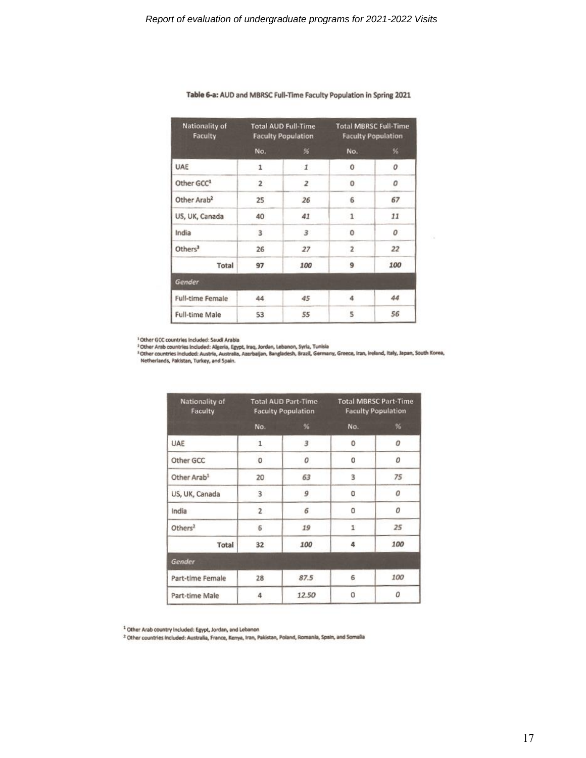| Nationality of<br>Faculty |                | <b>Total AUD Full-Time</b><br><b>Faculty Population</b> |                | <b>Total MBRSC Full-Time</b><br><b>Faculty Population</b> |
|---------------------------|----------------|---------------------------------------------------------|----------------|-----------------------------------------------------------|
|                           | No.            | 96                                                      | No.            | %                                                         |
| <b>UAE</b>                | $\mathbf{1}$   | $\mathbf{1}$                                            | $\mathbf 0$    | 0                                                         |
| Other GCC <sup>1</sup>    | $\overline{2}$ | $\overline{z}$                                          | 0              | 0                                                         |
| Other Arab <sup>2</sup>   | 25             | 26                                                      | 6              | 67                                                        |
| US, UK, Canada            | 40             | 41                                                      | $\mathbf{1}$   | 11                                                        |
| India                     | 3              | 3                                                       | 0              | 0                                                         |
| Others <sup>3</sup>       | 26             | 27                                                      | $\overline{2}$ | 22                                                        |
| Total                     | 97             | 100                                                     | 9              | 100                                                       |
| Gender                    |                |                                                         |                |                                                           |
| <b>Full-time Female</b>   | 44             | 45                                                      | 4              | 44                                                        |
| <b>Full-time Male</b>     | 53             | 55                                                      | 5              | 56                                                        |

#### Table 6-a: AUD and MBRSC Full-Time Faculty Population in Spring 2021

<sup>1</sup> Other GCC countries included: Saudi Arabia<br><sup>3</sup> Other Arab countries included: Algeria, Egypt, Iraq, Jordan, Lebanon, Syria, Tunisia<br><sup>3</sup> Other countries included: Austria, Australia, Azerbaijan, Bangladesh, Brazil, Germ

| Nationality of<br>Faculty | <b>Total AUD Part-Time</b><br><b>Faculty Population</b> |       | <b>Total MBRSC Part-Time</b><br><b>Faculty Population</b> |     |
|---------------------------|---------------------------------------------------------|-------|-----------------------------------------------------------|-----|
|                           | No.                                                     | 96    | No.                                                       | %   |
| UAE                       | 1                                                       | 3     | 0                                                         | 0   |
| Other GCC                 | 0                                                       | 0     | $\overline{0}$                                            | 0   |
| Other Arab <sup>1</sup>   | 20                                                      | 63    | 3                                                         | 75  |
| US, UK, Canada            | 3                                                       | 9     | 0                                                         | 0   |
| India                     | $\overline{z}$                                          | б     | O                                                         | 0   |
| Others <sup>2</sup>       | 6                                                       | 19    | 1                                                         | 25  |
| Total                     | 32                                                      | 100   | Д                                                         | 100 |
| Gender                    |                                                         |       |                                                           |     |
| Part-time Female          | 28                                                      | 87.5  | 6                                                         | 100 |
| Part-time Male            | 4                                                       | 12.50 | $\overline{0}$                                            | 0   |

<sup>1</sup> Other Arab country included: Egypt, Jordan, and Lebanon

<sup>2</sup> Other countries included: Australia, France, Kenya, Iran, Pakistan, Poland, Romania, Spain, and Somalia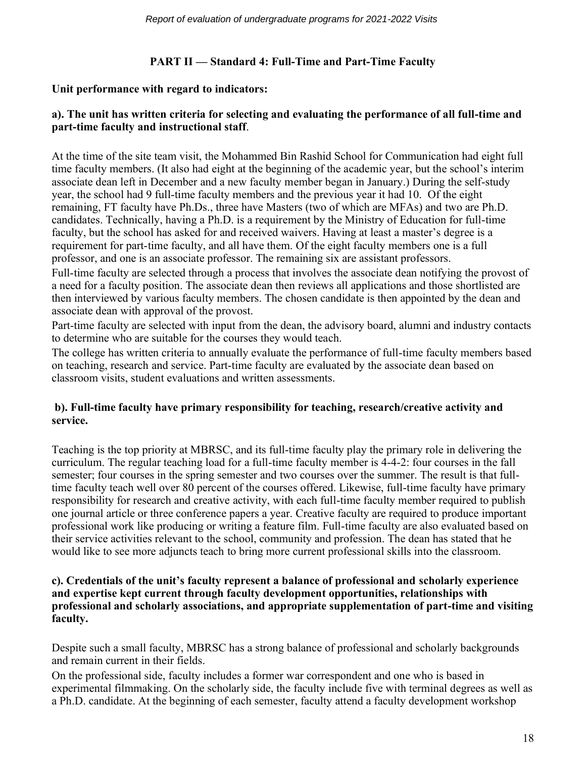# **PART II — Standard 4: Full-Time and Part-Time Faculty**

### **Unit performance with regard to indicators:**

# **a). The unit has written criteria for selecting and evaluating the performance of all full-time and part-time faculty and instructional staff**.

At the time of the site team visit, the Mohammed Bin Rashid School for Communication had eight full time faculty members. (It also had eight at the beginning of the academic year, but the school's interim associate dean left in December and a new faculty member began in January.) During the self-study year, the school had 9 full-time faculty members and the previous year it had 10. Of the eight remaining, FT faculty have Ph.Ds., three have Masters (two of which are MFAs) and two are Ph.D. candidates. Technically, having a Ph.D. is a requirement by the Ministry of Education for full-time faculty, but the school has asked for and received waivers. Having at least a master's degree is a requirement for part-time faculty, and all have them. Of the eight faculty members one is a full professor, and one is an associate professor. The remaining six are assistant professors.

Full-time faculty are selected through a process that involves the associate dean notifying the provost of a need for a faculty position. The associate dean then reviews all applications and those shortlisted are then interviewed by various faculty members. The chosen candidate is then appointed by the dean and associate dean with approval of the provost.

Part-time faculty are selected with input from the dean, the advisory board, alumni and industry contacts to determine who are suitable for the courses they would teach.

The college has written criteria to annually evaluate the performance of full-time faculty members based on teaching, research and service. Part-time faculty are evaluated by the associate dean based on classroom visits, student evaluations and written assessments.

# **b). Full-time faculty have primary responsibility for teaching, research/creative activity and service.**

Teaching is the top priority at MBRSC, and its full-time faculty play the primary role in delivering the curriculum. The regular teaching load for a full-time faculty member is 4-4-2: four courses in the fall semester; four courses in the spring semester and two courses over the summer. The result is that fulltime faculty teach well over 80 percent of the courses offered. Likewise, full-time faculty have primary responsibility for research and creative activity, with each full-time faculty member required to publish one journal article or three conference papers a year. Creative faculty are required to produce important professional work like producing or writing a feature film. Full-time faculty are also evaluated based on their service activities relevant to the school, community and profession. The dean has stated that he would like to see more adjuncts teach to bring more current professional skills into the classroom.

# **c). Credentials of the unit's faculty represent a balance of professional and scholarly experience and expertise kept current through faculty development opportunities, relationships with professional and scholarly associations, and appropriate supplementation of part-time and visiting faculty.**

Despite such a small faculty, MBRSC has a strong balance of professional and scholarly backgrounds and remain current in their fields.

On the professional side, faculty includes a former war correspondent and one who is based in experimental filmmaking. On the scholarly side, the faculty include five with terminal degrees as well as a Ph.D. candidate. At the beginning of each semester, faculty attend a faculty development workshop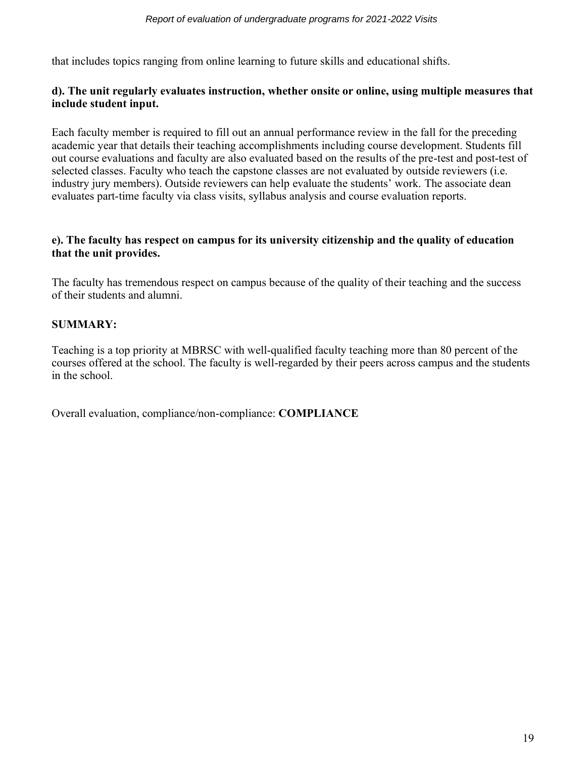that includes topics ranging from online learning to future skills and educational shifts.

# **d). The unit regularly evaluates instruction, whether onsite or online, using multiple measures that include student input.**

Each faculty member is required to fill out an annual performance review in the fall for the preceding academic year that details their teaching accomplishments including course development. Students fill out course evaluations and faculty are also evaluated based on the results of the pre-test and post-test of selected classes. Faculty who teach the capstone classes are not evaluated by outside reviewers (i.e. industry jury members). Outside reviewers can help evaluate the students' work. The associate dean evaluates part-time faculty via class visits, syllabus analysis and course evaluation reports.

# **e). The faculty has respect on campus for its university citizenship and the quality of education that the unit provides.**

The faculty has tremendous respect on campus because of the quality of their teaching and the success of their students and alumni.

# **SUMMARY:**

Teaching is a top priority at MBRSC with well-qualified faculty teaching more than 80 percent of the courses offered at the school. The faculty is well-regarded by their peers across campus and the students in the school.

Overall evaluation, compliance/non-compliance: **COMPLIANCE**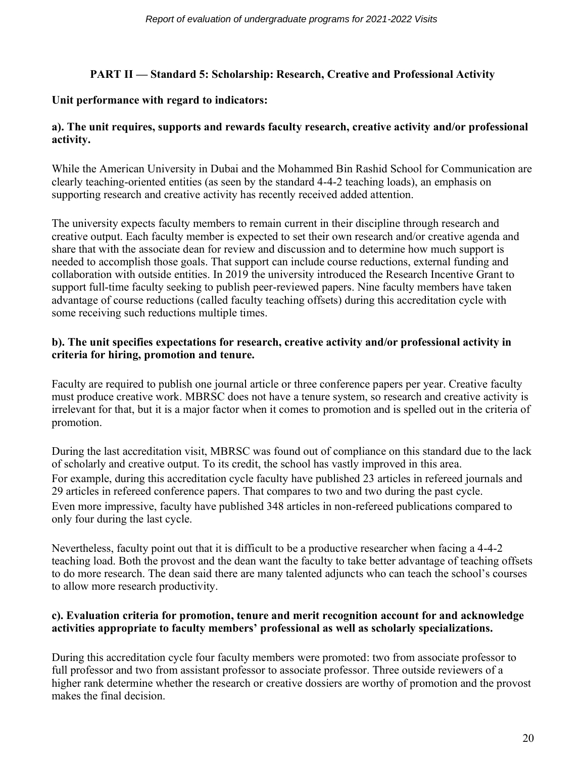# **PART II — Standard 5: Scholarship: Research, Creative and Professional Activity**

# **Unit performance with regard to indicators:**

# **a). The unit requires, supports and rewards faculty research, creative activity and/or professional activity.**

While the American University in Dubai and the Mohammed Bin Rashid School for Communication are clearly teaching-oriented entities (as seen by the standard 4-4-2 teaching loads), an emphasis on supporting research and creative activity has recently received added attention.

The university expects faculty members to remain current in their discipline through research and creative output. Each faculty member is expected to set their own research and/or creative agenda and share that with the associate dean for review and discussion and to determine how much support is needed to accomplish those goals. That support can include course reductions, external funding and collaboration with outside entities. In 2019 the university introduced the Research Incentive Grant to support full-time faculty seeking to publish peer-reviewed papers. Nine faculty members have taken advantage of course reductions (called faculty teaching offsets) during this accreditation cycle with some receiving such reductions multiple times.

# **b). The unit specifies expectations for research, creative activity and/or professional activity in criteria for hiring, promotion and tenure.**

Faculty are required to publish one journal article or three conference papers per year. Creative faculty must produce creative work. MBRSC does not have a tenure system, so research and creative activity is irrelevant for that, but it is a major factor when it comes to promotion and is spelled out in the criteria of promotion.

During the last accreditation visit, MBRSC was found out of compliance on this standard due to the lack of scholarly and creative output. To its credit, the school has vastly improved in this area. For example, during this accreditation cycle faculty have published 23 articles in refereed journals and 29 articles in refereed conference papers. That compares to two and two during the past cycle. Even more impressive, faculty have published 348 articles in non-refereed publications compared to only four during the last cycle.

Nevertheless, faculty point out that it is difficult to be a productive researcher when facing a 4-4-2 teaching load. Both the provost and the dean want the faculty to take better advantage of teaching offsets to do more research. The dean said there are many talented adjuncts who can teach the school's courses to allow more research productivity.

# **c). Evaluation criteria for promotion, tenure and merit recognition account for and acknowledge activities appropriate to faculty members' professional as well as scholarly specializations.**

During this accreditation cycle four faculty members were promoted: two from associate professor to full professor and two from assistant professor to associate professor. Three outside reviewers of a higher rank determine whether the research or creative dossiers are worthy of promotion and the provost makes the final decision.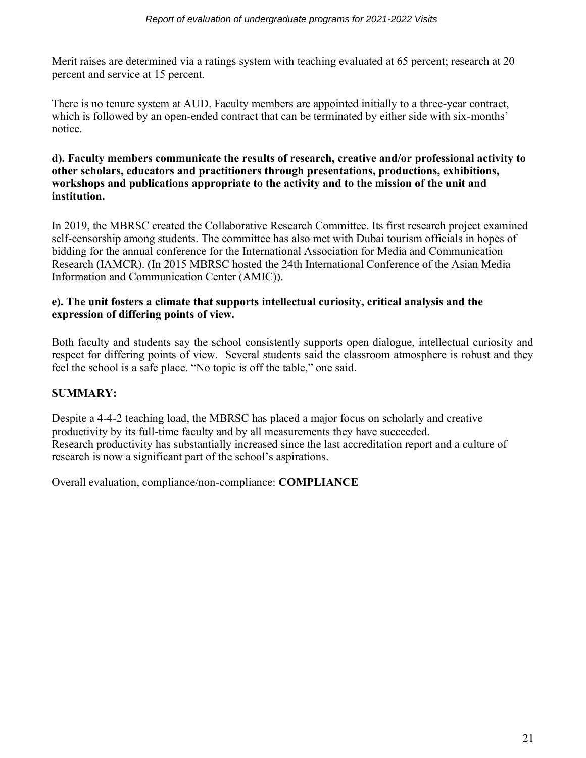Merit raises are determined via a ratings system with teaching evaluated at 65 percent; research at 20 percent and service at 15 percent.

There is no tenure system at AUD. Faculty members are appointed initially to a three-year contract, which is followed by an open-ended contract that can be terminated by either side with six-months' notice.

# **d). Faculty members communicate the results of research, creative and/or professional activity to other scholars, educators and practitioners through presentations, productions, exhibitions, workshops and publications appropriate to the activity and to the mission of the unit and institution.**

In 2019, the MBRSC created the Collaborative Research Committee. Its first research project examined self-censorship among students. The committee has also met with Dubai tourism officials in hopes of bidding for the annual conference for the International Association for Media and Communication Research (IAMCR). (In 2015 MBRSC hosted the 24th International Conference of the Asian Media Information and Communication Center (AMIC)).

# **e). The unit fosters a climate that supports intellectual curiosity, critical analysis and the expression of differing points of view.**

Both faculty and students say the school consistently supports open dialogue, intellectual curiosity and respect for differing points of view. Several students said the classroom atmosphere is robust and they feel the school is a safe place. "No topic is off the table," one said.

# **SUMMARY:**

Despite a 4-4-2 teaching load, the MBRSC has placed a major focus on scholarly and creative productivity by its full-time faculty and by all measurements they have succeeded. Research productivity has substantially increased since the last accreditation report and a culture of research is now a significant part of the school's aspirations.

Overall evaluation, compliance/non-compliance: **COMPLIANCE**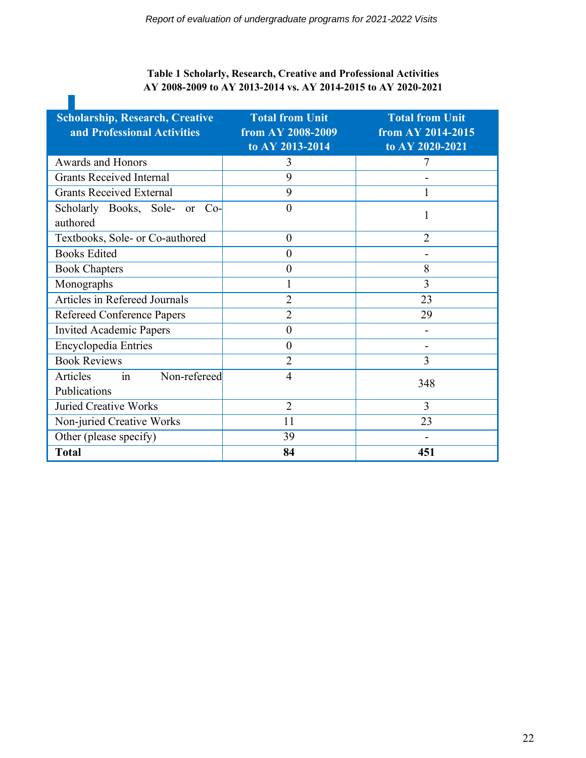# **Table 1 Scholarly, Research, Creative and Professional Activities AY 2008-2009 to AY 2013-2014 vs. AY 2014-2015 to AY 2020-2021**

 $\mathcal{L}_{\mathcal{A}}$ 

| <b>Scholarship, Research, Creative</b><br>and Professional Activities | <b>Total from Unit</b><br>from AY 2008-2009<br>to AY 2013-2014 | <b>Total from Unit</b><br>from AY 2014-2015<br>to AY 2020-2021 |
|-----------------------------------------------------------------------|----------------------------------------------------------------|----------------------------------------------------------------|
| <b>Awards and Honors</b>                                              | 3                                                              |                                                                |
| <b>Grants Received Internal</b>                                       | 9                                                              |                                                                |
| <b>Grants Received External</b>                                       | 9                                                              |                                                                |
| Scholarly Books, Sole-<br>$Co-$<br>or<br>authored                     | $\boldsymbol{0}$                                               |                                                                |
| Textbooks, Sole- or Co-authored                                       | $\boldsymbol{0}$                                               | $\overline{2}$                                                 |
| <b>Books Edited</b>                                                   | $\overline{0}$                                                 |                                                                |
| <b>Book Chapters</b>                                                  | $\boldsymbol{0}$                                               | 8                                                              |
| Monographs                                                            |                                                                | 3                                                              |
| Articles in Refereed Journals                                         | $\overline{2}$                                                 | 23                                                             |
| <b>Refereed Conference Papers</b>                                     | $\overline{2}$                                                 | 29                                                             |
| <b>Invited Academic Papers</b>                                        | $\overline{0}$                                                 |                                                                |
| <b>Encyclopedia Entries</b>                                           | $\overline{0}$                                                 | $\blacksquare$                                                 |
| <b>Book Reviews</b>                                                   | $\overline{2}$                                                 | 3                                                              |
| Non-refereed<br>Articles<br>in<br>Publications                        | $\overline{4}$                                                 | 348                                                            |
| <b>Juried Creative Works</b>                                          | $\overline{2}$                                                 | 3                                                              |
| Non-juried Creative Works                                             | 11                                                             | 23                                                             |
| Other (please specify)                                                | 39                                                             |                                                                |
| <b>Total</b>                                                          | 84                                                             | 451                                                            |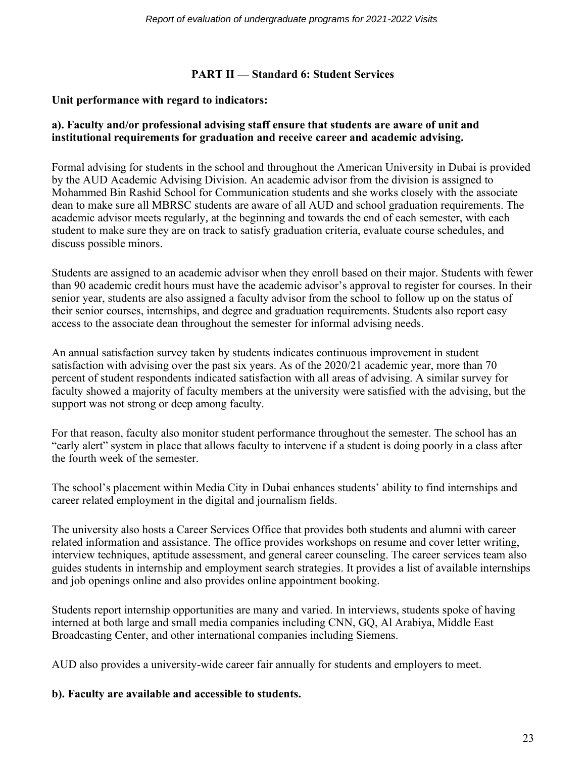# **PART II — Standard 6: Student Services**

# **Unit performance with regard to indicators:**

# **a). Faculty and/or professional advising staff ensure that students are aware of unit and institutional requirements for graduation and receive career and academic advising.**

Formal advising for students in the school and throughout the American University in Dubai is provided by the AUD Academic Advising Division. An academic advisor from the division is assigned to Mohammed Bin Rashid School for Communication students and she works closely with the associate dean to make sure all MBRSC students are aware of all AUD and school graduation requirements. The academic advisor meets regularly*,* at the beginning and towards the end of each semester, with each student to make sure they are on track to satisfy graduation criteria, evaluate course schedules, and discuss possible minors.

Students are assigned to an academic advisor when they enroll based on their major. Students with fewer than 90 academic credit hours must have the academic advisor's approval to register for courses. In their senior year, students are also assigned a faculty advisor from the school to follow up on the status of their senior courses, internships, and degree and graduation requirements. Students also report easy access to the associate dean throughout the semester for informal advising needs.

An annual satisfaction survey taken by students indicates continuous improvement in student satisfaction with advising over the past six years. As of the 2020/21 academic year, more than 70 percent of student respondents indicated satisfaction with all areas of advising. A similar survey for faculty showed a majority of faculty members at the university were satisfied with the advising, but the support was not strong or deep among faculty.

For that reason, faculty also monitor student performance throughout the semester. The school has an "early alert" system in place that allows faculty to intervene if a student is doing poorly in a class after the fourth week of the semester.

The school's placement within Media City in Dubai enhances students' ability to find internships and career related employment in the digital and journalism fields.

The university also hosts a Career Services Office that provides both students and alumni with career related information and assistance. The office provides workshops on resume and cover letter writing, interview techniques, aptitude assessment, and general career counseling. The career services team also guides students in internship and employment search strategies. It provides a list of available internships and job openings online and also provides online appointment booking.

Students report internship opportunities are many and varied. In interviews, students spoke of having interned at both large and small media companies including CNN, GQ, Al Arabiya, Middle East Broadcasting Center, and other international companies including Siemens.

AUD also provides a university-wide career fair annually for students and employers to meet.

#### **b). Faculty are available and accessible to students.**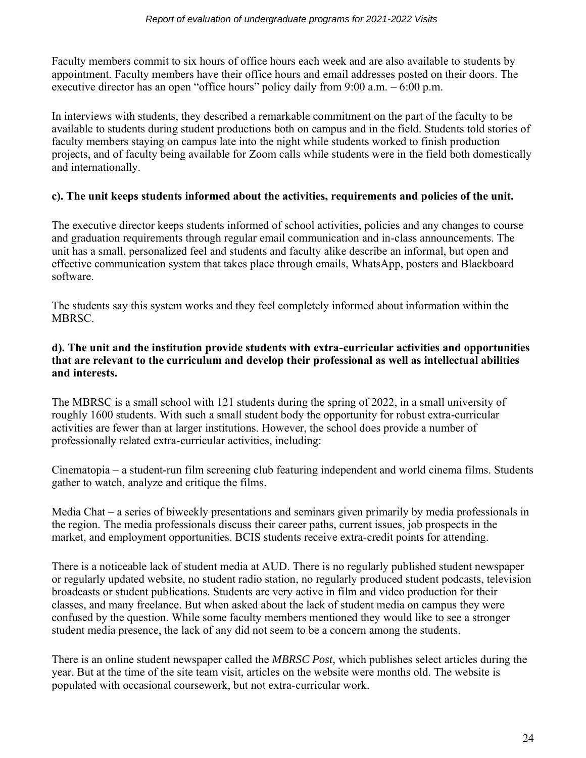Faculty members commit to six hours of office hours each week and are also available to students by appointment. Faculty members have their office hours and email addresses posted on their doors. The executive director has an open "office hours" policy daily from 9:00 a.m. – 6:00 p.m.

In interviews with students, they described a remarkable commitment on the part of the faculty to be available to students during student productions both on campus and in the field. Students told stories of faculty members staying on campus late into the night while students worked to finish production projects, and of faculty being available for Zoom calls while students were in the field both domestically and internationally.

# **c). The unit keeps students informed about the activities, requirements and policies of the unit.**

The executive director keeps students informed of school activities, policies and any changes to course and graduation requirements through regular email communication and in-class announcements. The unit has a small, personalized feel and students and faculty alike describe an informal, but open and effective communication system that takes place through emails, WhatsApp, posters and Blackboard software.

The students say this system works and they feel completely informed about information within the **MBRSC** 

### **d). The unit and the institution provide students with extra-curricular activities and opportunities that are relevant to the curriculum and develop their professional as well as intellectual abilities and interests.**

The MBRSC is a small school with 121 students during the spring of 2022, in a small university of roughly 1600 students. With such a small student body the opportunity for robust extra-curricular activities are fewer than at larger institutions. However, the school does provide a number of professionally related extra-curricular activities, including:

Cinematopia – a student-run film screening club featuring independent and world cinema films. Students gather to watch, analyze and critique the films.

Media Chat – a series of biweekly presentations and seminars given primarily by media professionals in the region. The media professionals discuss their career paths, current issues, job prospects in the market, and employment opportunities. BCIS students receive extra-credit points for attending.

There is a noticeable lack of student media at AUD. There is no regularly published student newspaper or regularly updated website, no student radio station, no regularly produced student podcasts, television broadcasts or student publications. Students are very active in film and video production for their classes, and many freelance. But when asked about the lack of student media on campus they were confused by the question. While some faculty members mentioned they would like to see a stronger student media presence, the lack of any did not seem to be a concern among the students.

There is an online student newspaper called the *MBRSC Post,* which publishes select articles during the year. But at the time of the site team visit, articles on the website were months old. The website is populated with occasional coursework, but not extra-curricular work.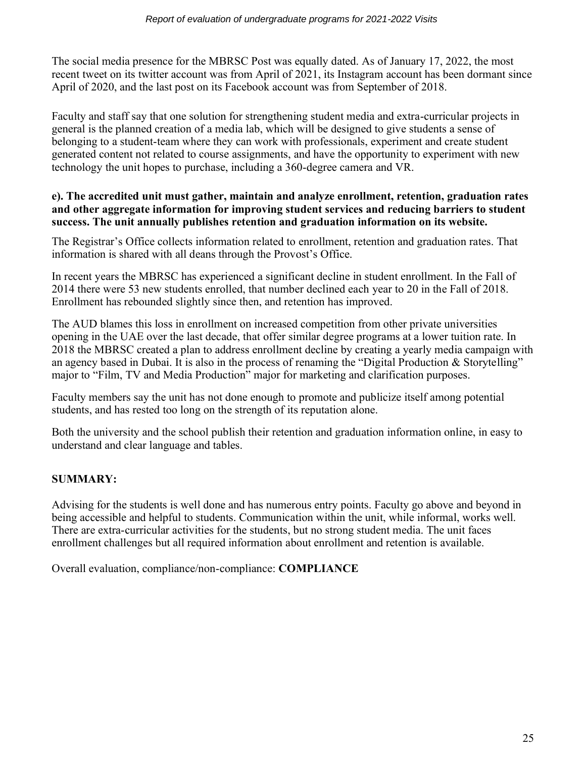The social media presence for the MBRSC Post was equally dated. As of January 17, 2022, the most recent tweet on its twitter account was from April of 2021, its Instagram account has been dormant since April of 2020, and the last post on its Facebook account was from September of 2018.

Faculty and staff say that one solution for strengthening student media and extra-curricular projects in general is the planned creation of a media lab, which will be designed to give students a sense of belonging to a student-team where they can work with professionals, experiment and create student generated content not related to course assignments, and have the opportunity to experiment with new technology the unit hopes to purchase, including a 360-degree camera and VR.

### **e). The accredited unit must gather, maintain and analyze enrollment, retention, graduation rates and other aggregate information for improving student services and reducing barriers to student success. The unit annually publishes retention and graduation information on its website.**

The Registrar's Office collects information related to enrollment, retention and graduation rates. That information is shared with all deans through the Provost's Office.

In recent years the MBRSC has experienced a significant decline in student enrollment. In the Fall of 2014 there were 53 new students enrolled, that number declined each year to 20 in the Fall of 2018. Enrollment has rebounded slightly since then, and retention has improved.

The AUD blames this loss in enrollment on increased competition from other private universities opening in the UAE over the last decade, that offer similar degree programs at a lower tuition rate. In 2018 the MBRSC created a plan to address enrollment decline by creating a yearly media campaign with an agency based in Dubai. It is also in the process of renaming the "Digital Production & Storytelling" major to "Film, TV and Media Production" major for marketing and clarification purposes.

Faculty members say the unit has not done enough to promote and publicize itself among potential students, and has rested too long on the strength of its reputation alone.

Both the university and the school publish their retention and graduation information online, in easy to understand and clear language and tables.

# **SUMMARY:**

Advising for the students is well done and has numerous entry points. Faculty go above and beyond in being accessible and helpful to students. Communication within the unit, while informal, works well. There are extra-curricular activities for the students, but no strong student media. The unit faces enrollment challenges but all required information about enrollment and retention is available.

Overall evaluation, compliance/non-compliance: **COMPLIANCE**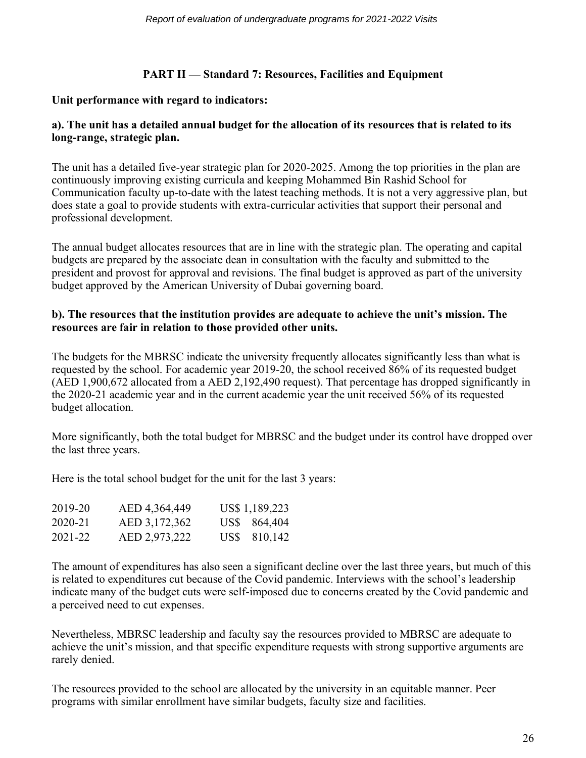# **PART II — Standard 7: Resources, Facilities and Equipment**

# **Unit performance with regard to indicators:**

# **a). The unit has a detailed annual budget for the allocation of its resources that is related to its long-range, strategic plan.**

The unit has a detailed five-year strategic plan for 2020-2025. Among the top priorities in the plan are continuously improving existing curricula and keeping Mohammed Bin Rashid School for Communication faculty up-to-date with the latest teaching methods. It is not a very aggressive plan, but does state a goal to provide students with extra-curricular activities that support their personal and professional development.

The annual budget allocates resources that are in line with the strategic plan. The operating and capital budgets are prepared by the associate dean in consultation with the faculty and submitted to the president and provost for approval and revisions. The final budget is approved as part of the university budget approved by the American University of Dubai governing board.

# **b). The resources that the institution provides are adequate to achieve the unit's mission. The resources are fair in relation to those provided other units.**

The budgets for the MBRSC indicate the university frequently allocates significantly less than what is requested by the school. For academic year 2019-20, the school received 86% of its requested budget (AED 1,900,672 allocated from a AED 2,192,490 request). That percentage has dropped significantly in the 2020-21 academic year and in the current academic year the unit received 56% of its requested budget allocation.

More significantly, both the total budget for MBRSC and the budget under its control have dropped over the last three years.

Here is the total school budget for the unit for the last 3 years:

| 2019-20 | AED 4,364,449 | US\$ 1,189,223 |
|---------|---------------|----------------|
| 2020-21 | AED 3,172,362 | US\$ 864,404   |
| 2021-22 | AED 2,973,222 | US\$ 810,142   |

The amount of expenditures has also seen a significant decline over the last three years, but much of this is related to expenditures cut because of the Covid pandemic. Interviews with the school's leadership indicate many of the budget cuts were self-imposed due to concerns created by the Covid pandemic and a perceived need to cut expenses.

Nevertheless, MBRSC leadership and faculty say the resources provided to MBRSC are adequate to achieve the unit's mission, and that specific expenditure requests with strong supportive arguments are rarely denied.

The resources provided to the school are allocated by the university in an equitable manner. Peer programs with similar enrollment have similar budgets, faculty size and facilities.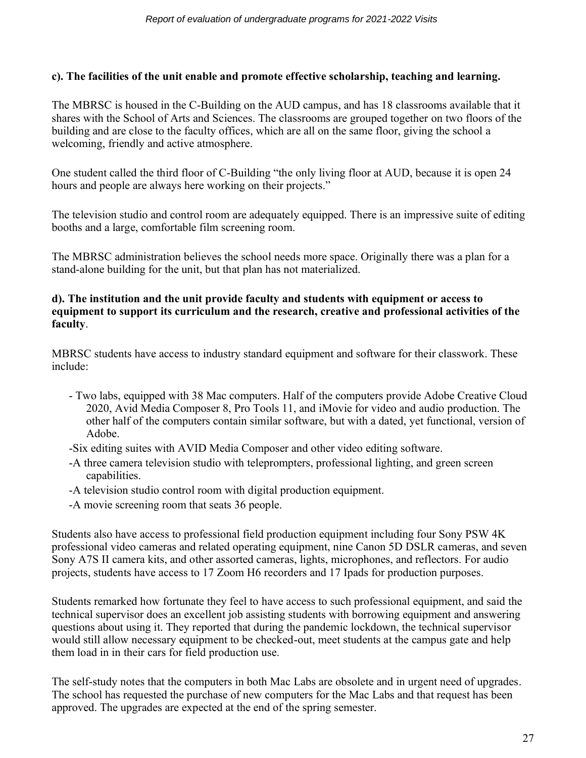# **c). The facilities of the unit enable and promote effective scholarship, teaching and learning.**

The MBRSC is housed in the C-Building on the AUD campus, and has 18 classrooms available that it shares with the School of Arts and Sciences. The classrooms are grouped together on two floors of the building and are close to the faculty offices, which are all on the same floor, giving the school a welcoming, friendly and active atmosphere.

One student called the third floor of C-Building "the only living floor at AUD, because it is open 24 hours and people are always here working on their projects."

The television studio and control room are adequately equipped. There is an impressive suite of editing booths and a large, comfortable film screening room.

The MBRSC administration believes the school needs more space. Originally there was a plan for a stand-alone building for the unit, but that plan has not materialized.

### **d). The institution and the unit provide faculty and students with equipment or access to equipment to support its curriculum and the research, creative and professional activities of the faculty**.

MBRSC students have access to industry standard equipment and software for their classwork. These include:

- Two labs, equipped with 38 Mac computers. Half of the computers provide Adobe Creative Cloud 2020, Avid Media Composer 8, Pro Tools 11, and iMovie for video and audio production. The other half of the computers contain similar software, but with a dated, yet functional, version of Adobe.
- -Six editing suites with AVID Media Composer and other video editing software.
- -A three camera television studio with teleprompters, professional lighting, and green screen capabilities.
- -A television studio control room with digital production equipment.
- -A movie screening room that seats 36 people.

Students also have access to professional field production equipment including four Sony PSW 4K professional video cameras and related operating equipment, nine Canon 5D DSLR cameras, and seven Sony A7S II camera kits, and other assorted cameras, lights, microphones, and reflectors. For audio projects, students have access to 17 Zoom H6 recorders and 17 Ipads for production purposes.

Students remarked how fortunate they feel to have access to such professional equipment, and said the technical supervisor does an excellent job assisting students with borrowing equipment and answering questions about using it. They reported that during the pandemic lockdown, the technical supervisor would still allow necessary equipment to be checked-out, meet students at the campus gate and help them load in in their cars for field production use.

The self-study notes that the computers in both Mac Labs are obsolete and in urgent need of upgrades. The school has requested the purchase of new computers for the Mac Labs and that request has been approved. The upgrades are expected at the end of the spring semester.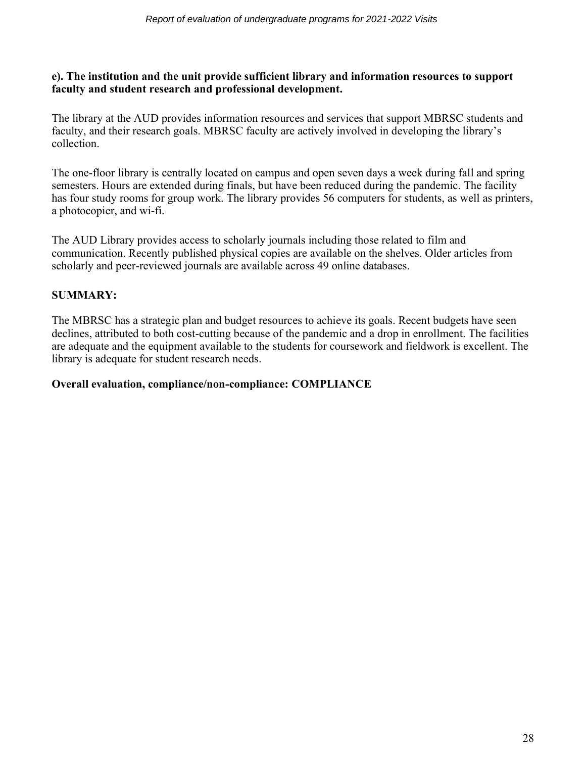### **e). The institution and the unit provide sufficient library and information resources to support faculty and student research and professional development.**

The library at the AUD provides information resources and services that support MBRSC students and faculty, and their research goals. MBRSC faculty are actively involved in developing the library's collection.

The one-floor library is centrally located on campus and open seven days a week during fall and spring semesters. Hours are extended during finals, but have been reduced during the pandemic. The facility has four study rooms for group work. The library provides 56 computers for students, as well as printers, a photocopier, and wi-fi.

The AUD Library provides access to scholarly journals including those related to film and communication. Recently published physical copies are available on the shelves. Older articles from scholarly and peer-reviewed journals are available across 49 online databases.

# **SUMMARY:**

The MBRSC has a strategic plan and budget resources to achieve its goals. Recent budgets have seen declines, attributed to both cost-cutting because of the pandemic and a drop in enrollment. The facilities are adequate and the equipment available to the students for coursework and fieldwork is excellent. The library is adequate for student research needs.

# **Overall evaluation, compliance/non-compliance: COMPLIANCE**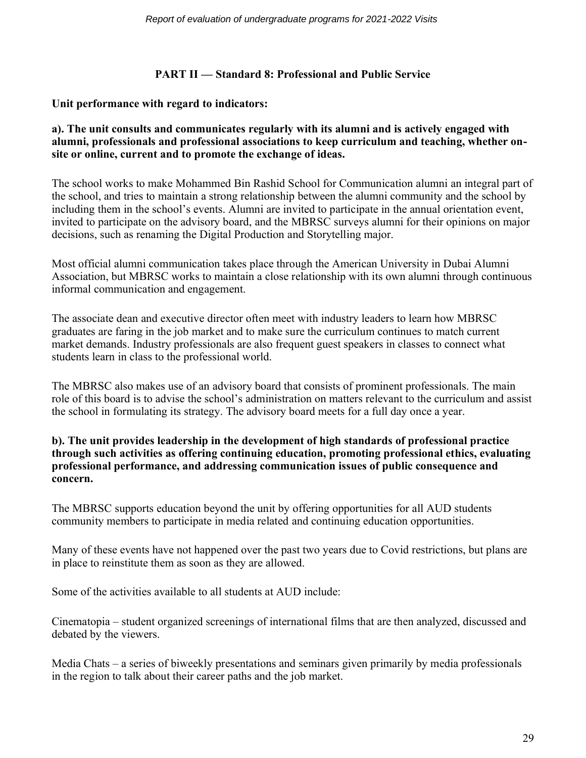# **PART II — Standard 8: Professional and Public Service**

# **Unit performance with regard to indicators:**

### **a). The unit consults and communicates regularly with its alumni and is actively engaged with alumni, professionals and professional associations to keep curriculum and teaching, whether onsite or online, current and to promote the exchange of ideas.**

The school works to make Mohammed Bin Rashid School for Communication alumni an integral part of the school, and tries to maintain a strong relationship between the alumni community and the school by including them in the school's events. Alumni are invited to participate in the annual orientation event, invited to participate on the advisory board, and the MBRSC surveys alumni for their opinions on major decisions, such as renaming the Digital Production and Storytelling major.

Most official alumni communication takes place through the American University in Dubai Alumni Association, but MBRSC works to maintain a close relationship with its own alumni through continuous informal communication and engagement.

The associate dean and executive director often meet with industry leaders to learn how MBRSC graduates are faring in the job market and to make sure the curriculum continues to match current market demands. Industry professionals are also frequent guest speakers in classes to connect what students learn in class to the professional world.

The MBRSC also makes use of an advisory board that consists of prominent professionals. The main role of this board is to advise the school's administration on matters relevant to the curriculum and assist the school in formulating its strategy. The advisory board meets for a full day once a year.

### **b). The unit provides leadership in the development of high standards of professional practice through such activities as offering continuing education, promoting professional ethics, evaluating professional performance, and addressing communication issues of public consequence and concern.**

The MBRSC supports education beyond the unit by offering opportunities for all AUD students community members to participate in media related and continuing education opportunities.

Many of these events have not happened over the past two years due to Covid restrictions, but plans are in place to reinstitute them as soon as they are allowed.

Some of the activities available to all students at AUD include:

Cinematopia – student organized screenings of international films that are then analyzed, discussed and debated by the viewers.

Media Chats – a series of biweekly presentations and seminars given primarily by media professionals in the region to talk about their career paths and the job market.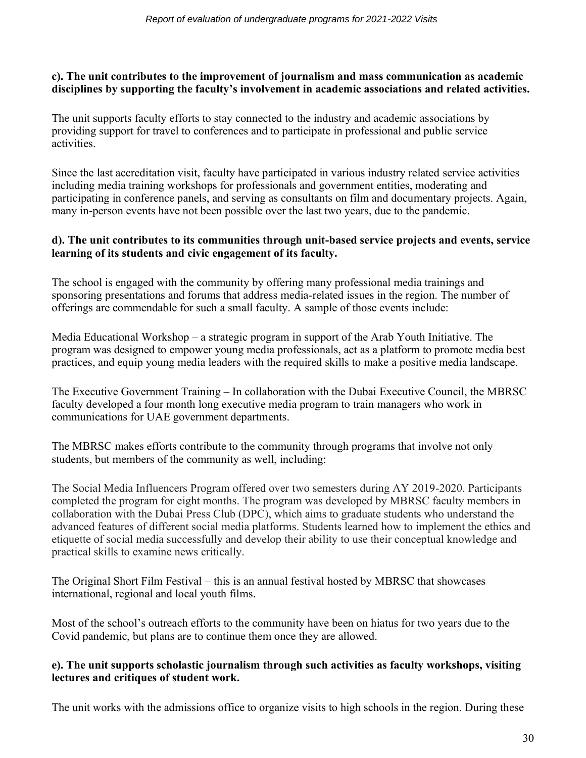# **c). The unit contributes to the improvement of journalism and mass communication as academic disciplines by supporting the faculty's involvement in academic associations and related activities.**

The unit supports faculty efforts to stay connected to the industry and academic associations by providing support for travel to conferences and to participate in professional and public service activities.

Since the last accreditation visit, faculty have participated in various industry related service activities including media training workshops for professionals and government entities, moderating and participating in conference panels, and serving as consultants on film and documentary projects. Again, many in-person events have not been possible over the last two years, due to the pandemic.

# **d). The unit contributes to its communities through unit-based service projects and events, service learning of its students and civic engagement of its faculty.**

The school is engaged with the community by offering many professional media trainings and sponsoring presentations and forums that address media-related issues in the region. The number of offerings are commendable for such a small faculty. A sample of those events include:

Media Educational Workshop – a strategic program in support of the Arab Youth Initiative. The program was designed to empower young media professionals, act as a platform to promote media best practices, and equip young media leaders with the required skills to make a positive media landscape.

The Executive Government Training – In collaboration with the Dubai Executive Council, the MBRSC faculty developed a four month long executive media program to train managers who work in communications for UAE government departments.

The MBRSC makes efforts contribute to the community through programs that involve not only students, but members of the community as well, including:

The Social Media Influencers Program offered over two semesters during AY 2019-2020. Participants completed the program for eight months. The program was developed by MBRSC faculty members in collaboration with the Dubai Press Club (DPC), which aims to graduate students who understand the advanced features of different social media platforms. Students learned how to implement the ethics and etiquette of social media successfully and develop their ability to use their conceptual knowledge and practical skills to examine news critically.

The Original Short Film Festival – this is an annual festival hosted by MBRSC that showcases international, regional and local youth films.

Most of the school's outreach efforts to the community have been on hiatus for two years due to the Covid pandemic, but plans are to continue them once they are allowed.

# **e). The unit supports scholastic journalism through such activities as faculty workshops, visiting lectures and critiques of student work.**

The unit works with the admissions office to organize visits to high schools in the region. During these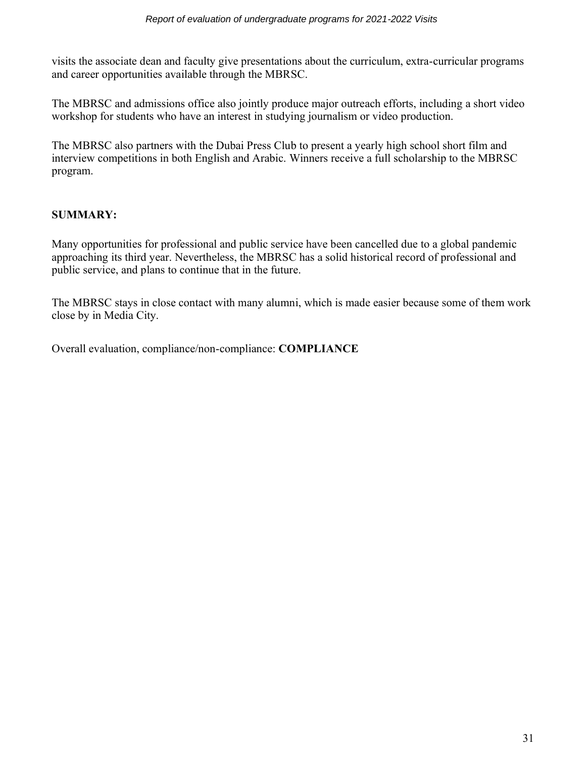visits the associate dean and faculty give presentations about the curriculum, extra-curricular programs and career opportunities available through the MBRSC.

The MBRSC and admissions office also jointly produce major outreach efforts, including a short video workshop for students who have an interest in studying journalism or video production.

The MBRSC also partners with the Dubai Press Club to present a yearly high school short film and interview competitions in both English and Arabic. Winners receive a full scholarship to the MBRSC program.

# **SUMMARY:**

Many opportunities for professional and public service have been cancelled due to a global pandemic approaching its third year. Nevertheless, the MBRSC has a solid historical record of professional and public service, and plans to continue that in the future.

The MBRSC stays in close contact with many alumni, which is made easier because some of them work close by in Media City.

Overall evaluation, compliance/non-compliance: **COMPLIANCE**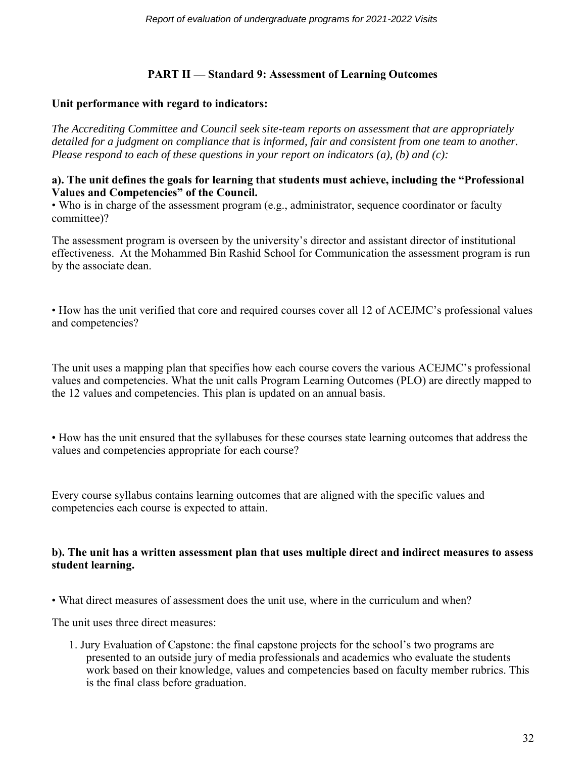# **PART II — Standard 9: Assessment of Learning Outcomes**

# **Unit performance with regard to indicators:**

*The Accrediting Committee and Council seek site-team reports on assessment that are appropriately detailed for a judgment on compliance that is informed, fair and consistent from one team to another. Please respond to each of these questions in your report on indicators (a), (b) and (c):*

#### **a). The unit defines the goals for learning that students must achieve, including the "Professional Values and Competencies" of the Council.**

• Who is in charge of the assessment program (e.g., administrator, sequence coordinator or faculty committee)?

The assessment program is overseen by the university's director and assistant director of institutional effectiveness. At the Mohammed Bin Rashid School for Communication the assessment program is run by the associate dean.

• How has the unit verified that core and required courses cover all 12 of ACEJMC's professional values and competencies?

The unit uses a mapping plan that specifies how each course covers the various ACEJMC's professional values and competencies. What the unit calls Program Learning Outcomes (PLO) are directly mapped to the 12 values and competencies. This plan is updated on an annual basis.

• How has the unit ensured that the syllabuses for these courses state learning outcomes that address the values and competencies appropriate for each course?

Every course syllabus contains learning outcomes that are aligned with the specific values and competencies each course is expected to attain.

# **b). The unit has a written assessment plan that uses multiple direct and indirect measures to assess student learning.**

• What direct measures of assessment does the unit use, where in the curriculum and when?

The unit uses three direct measures:

1. Jury Evaluation of Capstone: the final capstone projects for the school's two programs are presented to an outside jury of media professionals and academics who evaluate the students work based on their knowledge, values and competencies based on faculty member rubrics. This is the final class before graduation.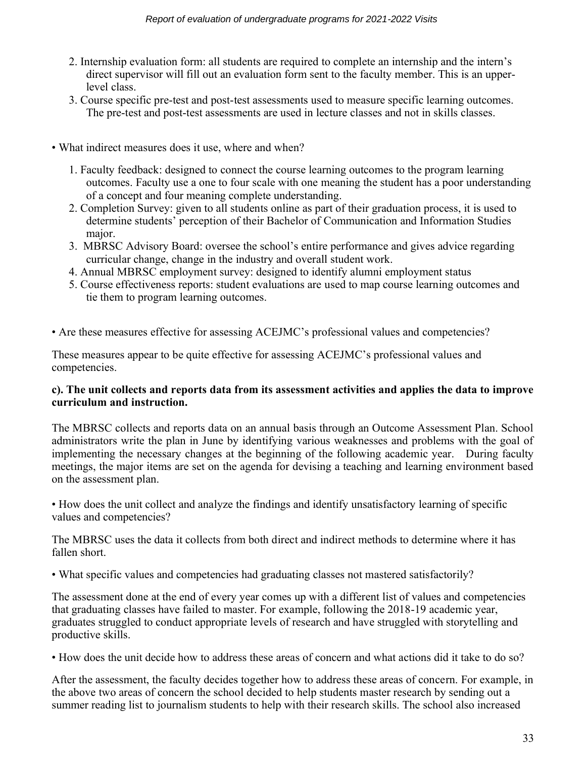- 2. Internship evaluation form: all students are required to complete an internship and the intern's direct supervisor will fill out an evaluation form sent to the faculty member. This is an upperlevel class.
- 3. Course specific pre-test and post-test assessments used to measure specific learning outcomes. The pre-test and post-test assessments are used in lecture classes and not in skills classes.
- What indirect measures does it use, where and when?
	- 1. Faculty feedback: designed to connect the course learning outcomes to the program learning outcomes. Faculty use a one to four scale with one meaning the student has a poor understanding of a concept and four meaning complete understanding.
	- 2. Completion Survey: given to all students online as part of their graduation process, it is used to determine students' perception of their Bachelor of Communication and Information Studies major.
	- 3. MBRSC Advisory Board: oversee the school's entire performance and gives advice regarding curricular change, change in the industry and overall student work.
	- 4. Annual MBRSC employment survey: designed to identify alumni employment status
	- 5. Course effectiveness reports: student evaluations are used to map course learning outcomes and tie them to program learning outcomes.

• Are these measures effective for assessing ACEJMC's professional values and competencies?

These measures appear to be quite effective for assessing ACEJMC's professional values and competencies.

#### **c). The unit collects and reports data from its assessment activities and applies the data to improve curriculum and instruction.**

The MBRSC collects and reports data on an annual basis through an Outcome Assessment Plan. School administrators write the plan in June by identifying various weaknesses and problems with the goal of implementing the necessary changes at the beginning of the following academic year. During faculty meetings, the major items are set on the agenda for devising a teaching and learning environment based on the assessment plan.

• How does the unit collect and analyze the findings and identify unsatisfactory learning of specific values and competencies?

The MBRSC uses the data it collects from both direct and indirect methods to determine where it has fallen short.

• What specific values and competencies had graduating classes not mastered satisfactorily?

The assessment done at the end of every year comes up with a different list of values and competencies that graduating classes have failed to master. For example, following the 2018-19 academic year, graduates struggled to conduct appropriate levels of research and have struggled with storytelling and productive skills.

• How does the unit decide how to address these areas of concern and what actions did it take to do so?

After the assessment, the faculty decides together how to address these areas of concern. For example, in the above two areas of concern the school decided to help students master research by sending out a summer reading list to journalism students to help with their research skills. The school also increased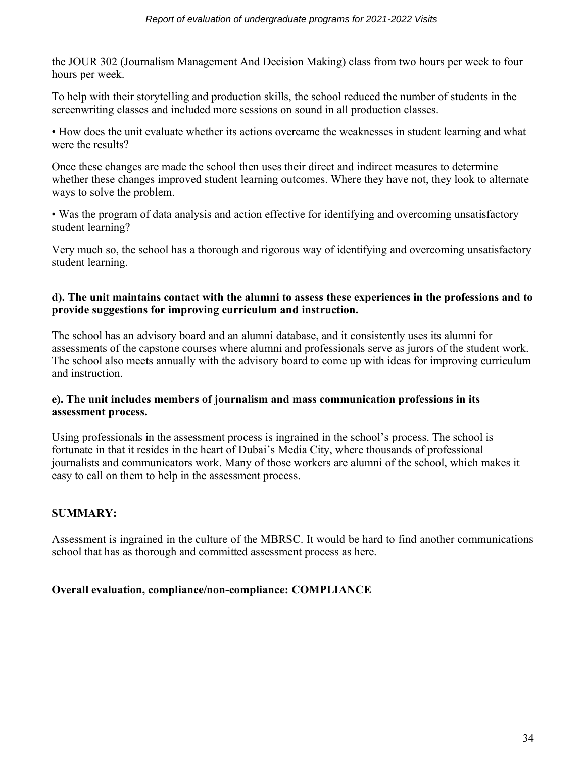the JOUR 302 (Journalism Management And Decision Making) class from two hours per week to four hours per week.

To help with their storytelling and production skills, the school reduced the number of students in the screenwriting classes and included more sessions on sound in all production classes.

• How does the unit evaluate whether its actions overcame the weaknesses in student learning and what were the results?

Once these changes are made the school then uses their direct and indirect measures to determine whether these changes improved student learning outcomes. Where they have not, they look to alternate ways to solve the problem.

• Was the program of data analysis and action effective for identifying and overcoming unsatisfactory student learning?

Very much so, the school has a thorough and rigorous way of identifying and overcoming unsatisfactory student learning.

# **d). The unit maintains contact with the alumni to assess these experiences in the professions and to provide suggestions for improving curriculum and instruction.**

The school has an advisory board and an alumni database, and it consistently uses its alumni for assessments of the capstone courses where alumni and professionals serve as jurors of the student work. The school also meets annually with the advisory board to come up with ideas for improving curriculum and instruction.

# **e). The unit includes members of journalism and mass communication professions in its assessment process.**

Using professionals in the assessment process is ingrained in the school's process. The school is fortunate in that it resides in the heart of Dubai's Media City, where thousands of professional journalists and communicators work. Many of those workers are alumni of the school, which makes it easy to call on them to help in the assessment process.

# **SUMMARY:**

Assessment is ingrained in the culture of the MBRSC. It would be hard to find another communications school that has as thorough and committed assessment process as here.

# **Overall evaluation, compliance/non-compliance: COMPLIANCE**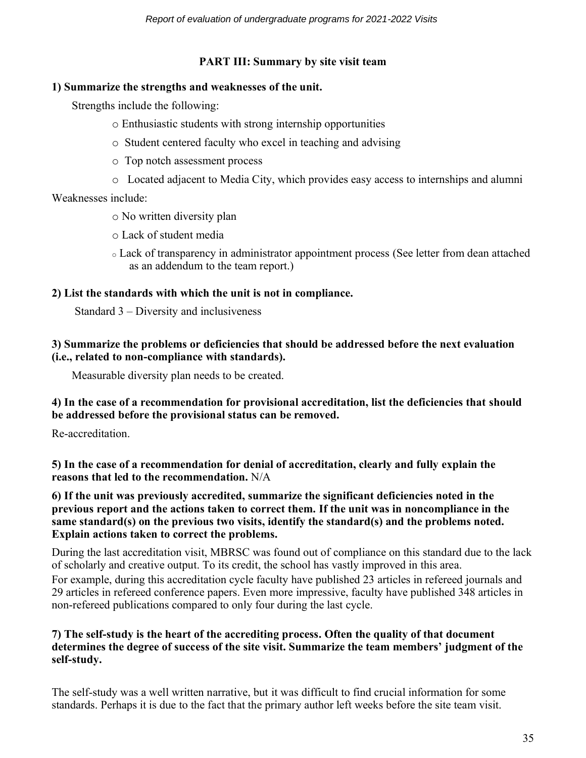# **PART III: Summary by site visit team**

### **1) Summarize the strengths and weaknesses of the unit.**

Strengths include the following:

- o Enthusiastic students with strong internship opportunities
- o Student centered faculty who excel in teaching and advising
- o Top notch assessment process
- o Located adjacent to Media City, which provides easy access to internships and alumni

# Weaknesses include:

- o No written diversity plan
- o Lack of student media
- <sup>o</sup> Lack of transparency in administrator appointment process (See letter from dean attached as an addendum to the team report.)

# **2) List the standards with which the unit is not in compliance.**

Standard 3 – Diversity and inclusiveness

### **3) Summarize the problems or deficiencies that should be addressed before the next evaluation (i.e., related to non-compliance with standards).**

Measurable diversity plan needs to be created.

# **4) In the case of a recommendation for provisional accreditation, list the deficiencies that should be addressed before the provisional status can be removed.**

Re-accreditation.

**5) In the case of a recommendation for denial of accreditation, clearly and fully explain the reasons that led to the recommendation.** N/A

### **6) If the unit was previously accredited, summarize the significant deficiencies noted in the previous report and the actions taken to correct them. If the unit was in noncompliance in the same standard(s) on the previous two visits, identify the standard(s) and the problems noted. Explain actions taken to correct the problems.**

During the last accreditation visit, MBRSC was found out of compliance on this standard due to the lack of scholarly and creative output. To its credit, the school has vastly improved in this area.

For example, during this accreditation cycle faculty have published 23 articles in refereed journals and 29 articles in refereed conference papers. Even more impressive, faculty have published 348 articles in non-refereed publications compared to only four during the last cycle.

# **7) The self-study is the heart of the accrediting process. Often the quality of that document determines the degree of success of the site visit. Summarize the team members' judgment of the self-study.**

The self-study was a well written narrative, but it was difficult to find crucial information for some standards. Perhaps it is due to the fact that the primary author left weeks before the site team visit.